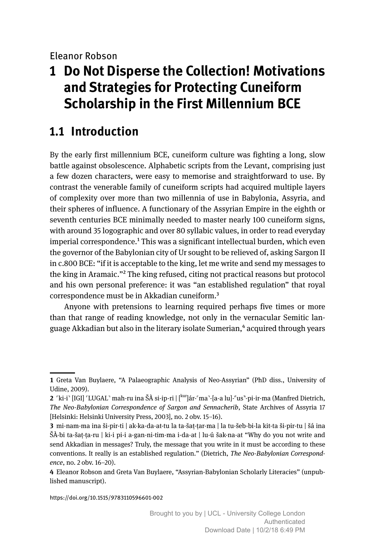Eleanor Robson

# **1 Do Not Disperse the Collection! Motivations and Strategies for Protecting Cuneiform Scholarship in the First Millennium BCE**

### **1.1 Introduction**

By the early first millennium BCE, cuneiform culture was fighting a long, slow battle against obsolescence. Alphabetic scripts from the Levant, comprising just a few dozen characters, were easy to memorise and straightforward to use. By contrast the venerable family of cuneiform scripts had acquired multiple layers of complexity over more than two millennia of use in Babylonia, Assyria, and their spheres of influence. A functionary of the Assyrian Empire in the eighth or seventh centuries BCE minimally needed to master nearly 100 cuneiform signs, with around 35 logographic and over 80 syllabic values, in order to read everyday imperial correspondence.1 This was a significant intellectual burden, which even the governor of the Babylonian city of Ur sought to be relieved of, asking Sargon II in c.800 BCE: "if it is acceptable to the king, let me write and send my messages to the king in Aramaic."2 The king refused, citing not practical reasons but protocol and his own personal preference: it was "an established regulation" that royal correspondence must be in Akkadian cuneiform.3

Anyone with pretensions to learning required perhaps five times or more than that range of reading knowledge, not only in the vernacular Semitic language Akkadian but also in the literary isolate Sumerian,4 acquired through years

**<sup>1</sup>** Greta Van Buylaere, "A Palaeographic Analysis of Neo-Assyrian" (PhD diss., University of Udine, 2009).

**<sup>2</sup>** ˹ki-i˺ [IGI] ˹LUGAL˺ mah-ru ina ŠÀ si-ip-ri | [kur]ár-˹ma˺-[a-a lu]-**˹**us**˺**-pi-ir-ma (Manfred Dietrich, *The Neo-Babylonian Correspondence of Sargon and Sennacherib*, State Archives of Assyria 17 [Helsinki: Helsinki University Press, 2003], no. 2 obv. 15–16).

**<sup>3</sup>** mi-nam-ma ina ši-pir-ti | ak-ka-da-at-tu la ta-šaṭ-ṭar-ma | la tu-šeb-bi-la kit-ta ši-pir-tu | šá ina ŠÀ-bi ta-šaṭ-ṭa-ru | ki-i pi-i a-gan-ni-tim-ma i-da-at | lu-ú šak-na-at "Why do you not write and send Akkadian in messages? Truly, the message that you write in it must be according to these conventions. It really is an established regulation." (Dietrich, *The Neo-Babylonian Correspondence*, no. 2 obv. 16–20).

**<sup>4</sup>** Eleanor Robson and Greta Van Buylaere, "Assyrian-Babylonian Scholarly Literacies" (unpublished manuscript).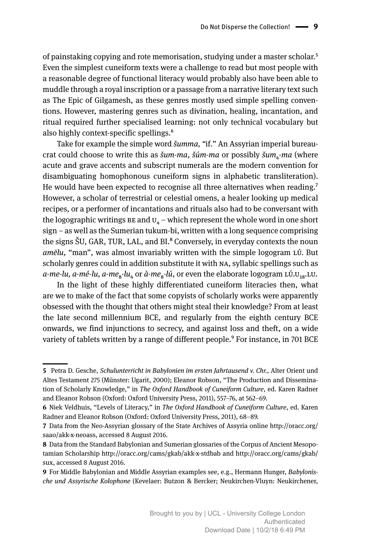of painstaking copying and rote memorisation, studying under a master scholar.5 Even the simplest cuneiform texts were a challenge to read but most people with a reasonable degree of functional literacy would probably also have been able to muddle through a royal inscription or a passage from a narrative literary text such as The Epic of Gilgamesh, as these genres mostly used simple spelling conventions. However, mastering genres such as divination, healing, incantation, and ritual required further specialised learning: not only technical vocabulary but also highly context-specific spellings.<sup>6</sup>

Take for example the simple word *šumma, "*if." An Assyrian imperial bureaucrat could choose to write this as *šum-ma*, *šúm-ma* or possibly *šum*<sub>*i*</sub>-ma (where acute and grave accents and subscript numerals are the modern convention for disambiguating homophonous cuneiform signs in alphabetic transliteration). He would have been expected to recognise all three alternatives when reading.<sup>7</sup> However, a scholar of terrestrial or celestial omens, a healer looking up medical recipes, or a performer of incantations and rituals also had to be conversant with the logographic writings  $BE$  and  $U_a$  – which represent the whole word in one short sign – as well as the Sumerian tukum-bi, written with a long sequence comprising the signs ŠU, GAR, TUR, LAL, and BI.<sup>8</sup> Conversely, in everyday contexts the noun *amēlu*, "man", was almost invariably written with the simple logogram LÚ. But scholarly genres could in addition substitute it with na, syllabic spellings such as *a-me-lu, a-mé-lu, a-me*<sub>s</sub>-lu<sub>4</sub> or *à-me*<sub>s</sub>-lú, or even the elaborate logogram Lú.u<sub>18</sub>.Lu.

In the light of these highly differentiated cuneiform literacies then, what are we to make of the fact that some copyists of scholarly works were apparently obsessed with the thought that others might steal their knowledge? From at least the late second millennium BCE, and regularly from the eighth century BCE onwards, we find injunctions to secrecy, and against loss and theft, on a wide variety of tablets written by a range of different people.<sup>9</sup> For instance, in 701 BCE

**<sup>5</sup>** Petra D. Gesche, *Schulunterricht in Babylonien im ersten Jahrtausend v. Chr.*, Alter Orient und Altes Testament 275 (Münster: Ugarit, 2000); Eleanor Robson, "The Production and Dissemination of Scholarly Knowledge," in *The Oxford Handbook of Cuneiform Culture*, ed. Karen Radner and Eleanor Robson (Oxford: Oxford University Press, 2011), 557–76, at 562–69.

**<sup>6</sup>** Niek Veldhuis, "Levels of Literacy," in *The Oxford Handbook of Cuneiform Culture*, ed. Karen Radner and Eleanor Robson (Oxford: Oxford University Press, 2011), 68–89.

**<sup>7</sup>** Data from the Neo-Assyrian glossary of the State Archives of Assyria online http://oracc.org/ saao/akk-x-neoass, accessed 8 August 2016.

**<sup>8</sup>** Data from the Standard Babylonian and Sumerian glossaries of the Corpus of Ancient Mesopotamian Scholarship http://oracc.org/cams/gkab/akk-x-stdbab and http://oracc.org/cams/gkab/ sux, accessed 8 August 2016.

**<sup>9</sup>** For Middle Babylonian and Middle Assyrian examples see, e.g., Hermann Hunger, *Babylonische und Assyrische Kolophone* (Kevelaer: Butzon & Bercker; Neukirchen-Vluyn: Neukirchener,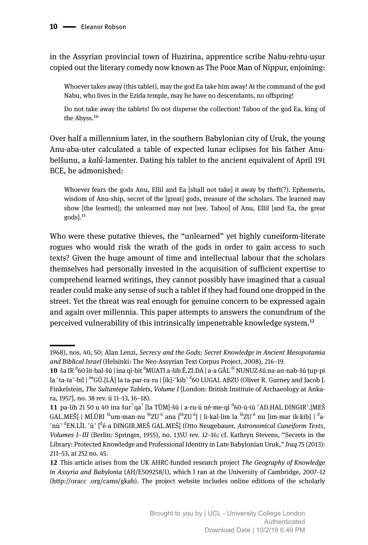in the Assyrian provincial town of Huzirina, apprentice scribe Nabu-rehtu-uṣur copied out the literary comedy now known as The Poor Man of Nippur, enjoining:

Whoever takes away (this tablet), may the god Ea take him away! At the command of the god Nabu, who lives in the Ezida temple, may he have no descendants, no offspring!

Do not take away the tablets! Do not disperse the collection! Taboo of the god Ea, king of the Abyss.<sup>10</sup>

Over half a millennium later, in the southern Babylonian city of Uruk, the young Anu-aba-uter calculated a table of expected lunar eclipses for his father Anubelšunu, a *kalû-*lamenter. Dating his tablet to the ancient equivalent of April 191 BCE, he admonished:

Whoever fears the gods Anu, Ellil and Ea [shall not take] it away by theft(?). Ephemeris, wisdom of Anu-ship, secret of the [great] gods, treasure of the scholars. The learned may show [the learned]; the unlearned may not [see. Taboo] of Anu, Ellil [and Ea, the great  $\text{gods}$ <sup>11</sup>

Who were these putative thieves, the "unlearned" yet highly cuneiform-literate rogues who would risk the wrath of the gods in order to gain access to such texts? Given the huge amount of time and intellectual labour that the scholars themselves had personally invested in the acquisition of sufficient expertise to comprehend learned writings, they cannot possibly have imagined that a casual reader could make any sense of such a tablet if they had found one dropped in the street. Yet the threat was real enough for genuine concern to be expressed again and again over millennia. This paper attempts to answers the conundrum of the perceived vulnerability of this intrinsically impenetrable knowledge system.<sup>12</sup>

<sup>1968),</sup> nos. 40, 50; Alan Lenzi, *Secrecy and the Gods: Secret Knowledge in Ancient Mesopotamia and Biblical Israel* (Helsinki: The Neo-Assyrian Text Corpus Project, 2008), 216–19.

**<sup>10</sup>** ša IR <sup>d</sup>60 lit-bal-šú | ina qí-bit <sup>d</sup>MUATI a-šib É.ZI.DA | a-a GÁL<sup>-ši</sup> NUNUZ-šú na-an-nab-šú ṭup-pi la ʿta-ta'-bil | <sup>im</sup>GÚ.[LÁ] la ta-par-ra-ru | [ik]-'kib' <sup>d</sup>60 LUGAL ABZU (Oliver R. Gurney and Jacob J. Finkelstein, *The Sultantepe Tablets, Volume I* [London: British Institute of Archaeology at Ankara, 1957], no. 38 rev. ii 11–13, 16–18).

<sup>11</sup> pa-lih 21 50 u 40 ina šur<sup>?:</sup>qa<sup>?</sup> [la TÙM]-šú | a-ru-ú né-me-qí <sup>d</sup>60-ú-tú 'AD.HAL DINGIR'.[MEŠ GAL.MEŠ] | MÍ.ÙRI  $^{\text{hi}}$ um-man-nu  $^{\text{li}}$ ZU<sup>-ú</sup> ana [ $^{\text{li}}$ ZU<sup>-ú</sup>] | li-kal-lim la  $^{\text{li}}$ ZU<sup>-ú</sup> nu [im-mar ik-kib] |  $^{\text{d}}$ a-ˈnù<sup>า d</sup>EN.LÍL 「ù<sup>า</sup> [<sup>d</sup>é-a DINGIR.MEŠ GAL.MEŠ] (Otto Neugebauer, *Astronomical Cuneiform Texts*, *Volumes I–III* (Berlin: Springer, 1955), no. 135U rev. 12–16; cf. Kathryn Stevens, "Secrets in the Library: Protected Knowledge and Professional Identity in Late Babylonian Uruk," *Iraq* 75 (2013): 211–53, at 252 no. 45.

**<sup>12</sup>** This article arises from the UK AHRC-funded research project *The Geography of Knowledge in Assyria and Babylonia* (AH/E509258/1), which I ran at the University of Cambridge, 2007–12 (http://oracc .org/cams/gkab). The project website includes online editions of the scholarly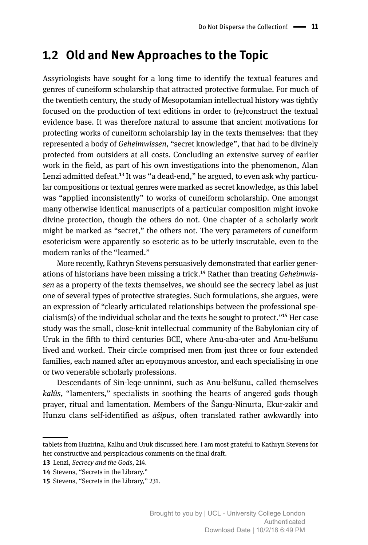#### **1.2 Old and New Approaches to the Topic**

Assyriologists have sought for a long time to identify the textual features and genres of cuneiform scholarship that attracted protective formulae. For much of the twentieth century, the study of Mesopotamian intellectual history was tightly focused on the production of text editions in order to (re)construct the textual evidence base. It was therefore natural to assume that ancient motivations for protecting works of cuneiform scholarship lay in the texts themselves: that they represented a body of *Geheimwissen*, "secret knowledge", that had to be divinely protected from outsiders at all costs. Concluding an extensive survey of earlier work in the field, as part of his own investigations into the phenomenon, Alan Lenzi admitted defeat.<sup>13</sup> It was "a dead-end," he argued, to even ask why particular compositions or textual genres were marked as secret knowledge, as this label was "applied inconsistently" to works of cuneiform scholarship. One amongst many otherwise identical manuscripts of a particular composition might invoke divine protection, though the others do not. One chapter of a scholarly work might be marked as "secret," the others not. The very parameters of cuneiform esotericism were apparently so esoteric as to be utterly inscrutable, even to the modern ranks of the "learned."

More recently, Kathryn Stevens persuasively demonstrated that earlier generations of historians have been missing a trick.14 Rather than treating *Geheimwissen* as a property of the texts themselves, we should see the secrecy label as just one of several types of protective strategies. Such formulations, she argues, were an expression of "clearly articulated relationships between the professional spe $cialism(s)$  of the individual scholar and the texts he sought to protect."<sup>15</sup> Her case study was the small, close-knit intellectual community of the Babylonian city of Uruk in the fifth to third centuries BCE, where Anu-aba-uter and Anu-belšunu lived and worked. Their circle comprised men from just three or four extended families, each named after an eponymous ancestor, and each specialising in one or two venerable scholarly professions.

Descendants of Sin-leqe-unninni, such as Anu-belšunu, called themselves *kalûs*, "lamenters," specialists in soothing the hearts of angered gods though prayer, ritual and lamentation. Members of the Šangu-Ninurta, Ekur-zakir and Hunzu clans self-identified as *āšipus*, often translated rather awkwardly into

tablets from Huzirina, Kalhu and Uruk discussed here. I am most grateful to Kathryn Stevens for her constructive and perspicacious comments on the final draft.

**<sup>13</sup>** Lenzi, *Secrecy and the Gods*, 214.

**<sup>14</sup>** Stevens, "Secrets in the Library."

**<sup>15</sup>** Stevens, "Secrets in the Library," 231.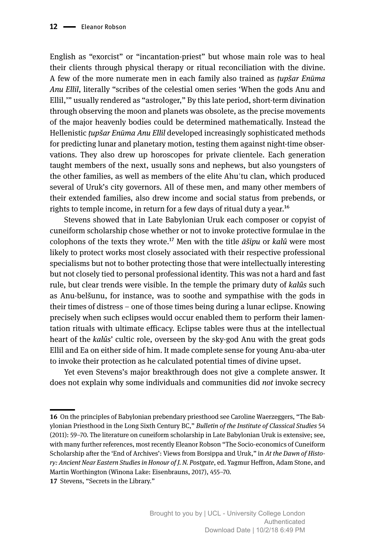English as "exorcist" or "incantation-priest" but whose main role was to heal their clients through physical therapy or ritual reconciliation with the divine. A few of the more numerate men in each family also trained as *ṭupšar Enūma Anu Ellil*, literally "scribes of the celestial omen series 'When the gods Anu and Ellil,'" usually rendered as "astrologer," By this late period, short-term divination through observing the moon and planets was obsolete, as the precise movements of the major heavenly bodies could be determined mathematically. Instead the Hellenistic *ṭupšar Enūma Anu Ellil* developed increasingly sophisticated methods for predicting lunar and planetary motion, testing them against night-time observations. They also drew up horoscopes for private clientele. Each generation taught members of the next, usually sons and nephews, but also youngsters of the other families, as well as members of the elite Ahuʾtu clan, which produced several of Uruk's city governors. All of these men, and many other members of their extended families, also drew income and social status from prebends, or rights to temple income, in return for a few days of ritual duty a year.<sup>16</sup>

Stevens showed that in Late Babylonian Uruk each composer or copyist of cuneiform scholarship chose whether or not to invoke protective formulae in the colophons of the texts they wrote.17 Men with the title *āšipu* or *kalû* were most likely to protect works most closely associated with their respective professional specialisms but not to bother protecting those that were intellectually interesting but not closely tied to personal professional identity. This was not a hard and fast rule, but clear trends were visible. In the temple the primary duty of *kalûs* such as Anu-belšunu, for instance, was to soothe and sympathise with the gods in their times of distress – one of those times being during a lunar eclipse. Knowing precisely when such eclipses would occur enabled them to perform their lamentation rituals with ultimate efficacy. Eclipse tables were thus at the intellectual heart of the *kalûs*' cultic role, overseen by the sky-god Anu with the great gods Ellil and Ea on either side of him. It made complete sense for young Anu-aba-uter to invoke their protection as he calculated potential times of divine upset.

Yet even Stevens's major breakthrough does not give a complete answer. It does not explain why some individuals and communities did *not* invoke secrecy

**<sup>16</sup>** On the principles of Babylonian prebendary priesthood see Caroline Waerzeggers, "The Babylonian Priesthood in the Long Sixth Century BC," *Bulletin of the Institute of Classical Studies* 54 (2011): 59–70. The literature on cuneiform scholarship in Late Babylonian Uruk is extensive; see, with many further references, most recently Eleanor Robson "The Socio-economics of Cuneiform Scholarship after the 'End of Archives': Views from Borsippa and Uruk," in *At the Dawn of History: Ancient Near Eastern Studies in Honour of J. N. Postgate*, ed. Yagmur Heffron, Adam Stone, and Martin Worthington (Winona Lake: Eisenbrauns, 2017), 455–70.

**<sup>17</sup>** Stevens, "Secrets in the Library."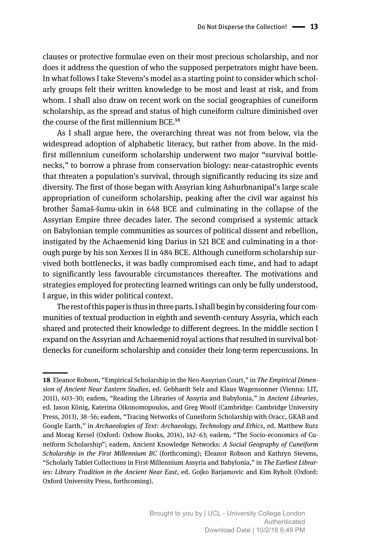clauses or protective formulae even on their most precious scholarship, and nor does it address the question of who the supposed perpetrators might have been. In what follows I take Stevens's model as a starting point to consider which scholarly groups felt their written knowledge to be most and least at risk, and from whom. I shall also draw on recent work on the social geographies of cuneiform scholarship, as the spread and status of high cuneiform culture diminished over the course of the first millennium BCE.<sup>18</sup>

As I shall argue here, the overarching threat was not from below, via the widespread adoption of alphabetic literacy, but rather from above. In the midfirst millennium cuneiform scholarship underwent two major "survival bottlenecks," to borrow a phrase from conservation biology: near-catastrophic events that threaten a population's survival, through significantly reducing its size and diversity. The first of those began with Assyrian king Ashurbnanipal's large scale appropriation of cuneiform scholarship, peaking after the civil war against his brother Šamaš-šumu-ukin in 648 BCE and culminating in the collapse of the Assyrian Empire three decades later. The second comprised a systemic attack on Babylonian temple communities as sources of political dissent and rebellion, instigated by the Achaemenid king Darius in 521 BCE and culminating in a thorough purge by his son Xerxes II in 484 BCE. Although cuneiform scholarship survived both bottlenecks, it was badly compromised each time, and had to adapt to significantly less favourable circumstances thereafter. The motivations and strategies employed for protecting learned writings can only be fully understood, I argue, in this wider political context.

The rest of this paper is thus in three parts. I shall begin by considering four communities of textual production in eighth and seventh-century Assyria, which each shared and protected their knowledge to different degrees. In the middle section I expand on the Assyrian and Achaemenid royal actions that resulted in survival bottlenecks for cuneiform scholarship and consider their long-term repercussions. In

**<sup>18</sup>** Eleanor Robson, "Empirical Scholarship in the Neo-Assyrian Court," in *The Empirical Dimension of Ancient Near Eastern Studies*, ed. Gebhardt Selz and Klaus Wagensonner (Vienna: LIT, 2011), 603–30; eadem, "Reading the Libraries of Assyria and Babylonia," in *Ancient Libraries*, ed. Jason König, Katerina Oikonomopoulos, and Greg Woolf (Cambridge: Cambridge University Press, 2013), 38–56; eadem, "Tracing Networks of Cuneiform Scholarship with Oracc, GKAB and Google Earth," in *Archaeologies of Text: Archaeology, Technology and Ethics*, ed. Matthew Rutz and Morag Kersel (Oxford: Oxbow Books, 2014), 142–63; eadem, "The Socio-economics of Cuneiform Scholarship"; eadem, Ancient Knowledge Networks: *A Social Geography of Cuneiform Scholarship in the First Millennium BC* (forthcoming); Eleanor Robson and Kathryn Stevens, "Scholarly Tablet Collections in First-Millennium Assyria and Babylonia," in *The Earliest Libraries: Library Tradition in the Ancient Near East*, ed. Gojko Barjamovic and Kim Ryholt (Oxford: Oxford University Press, forthcoming).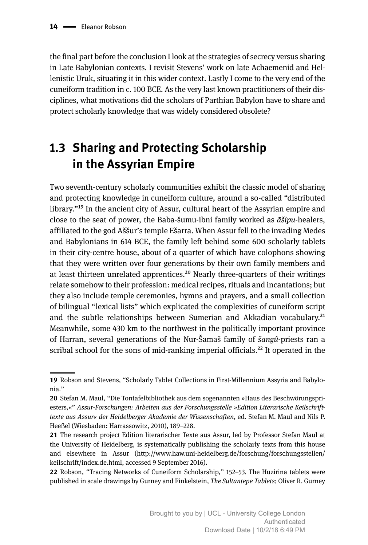the final part before the conclusion I look at the strategies of secrecy versus sharing in Late Babylonian contexts. I revisit Stevens' work on late Achaemenid and Hellenistic Uruk, situating it in this wider context. Lastly I come to the very end of the cuneiform tradition in c. 100 BCE. As the very last known practitioners of their disciplines, what motivations did the scholars of Parthian Babylon have to share and protect scholarly knowledge that was widely considered obsolete?

## **1.3 Sharing and Protecting Scholarship in the Assyrian Empire**

Two seventh-century scholarly communities exhibit the classic model of sharing and protecting knowledge in cuneiform culture, around a so-called "distributed library."<sup>19</sup> In the ancient city of Assur, cultural heart of the Assyrian empire and close to the seat of power, the Baba-šumu-ibni family worked as *āšipu-*healers, affiliated to the god Aššur's temple Ešarra. When Assur fell to the invading Medes and Babylonians in 614 BCE, the family left behind some 600 scholarly tablets in their city-centre house, about of a quarter of which have colophons showing that they were written over four generations by their own family members and at least thirteen unrelated apprentices.<sup>20</sup> Nearly three-quarters of their writings relate somehow to their profession: medical recipes, rituals and incantations; but they also include temple ceremonies, hymns and prayers, and a small collection of bilingual "lexical lists" which explicated the complexities of cuneiform script and the subtle relationships between Sumerian and Akkadian vocabulary.<sup>21</sup> Meanwhile, some 430 km to the northwest in the politically important province of Harran, several generations of the Nur-Šamaš family of *šangû*-priests ran a scribal school for the sons of mid-ranking imperial officials.<sup>22</sup> It operated in the

**<sup>19</sup>** Robson and Stevens, "Scholarly Tablet Collections in First-Millennium Assyria and Babylonia."

**<sup>20</sup>** Stefan M. Maul, "Die Tontafelbibliothek aus dem sogenannten »Haus des Beschwörungspriesters,«" *Assur-Forschungen: Arbeiten aus der Forschungsstelle »Edition Literarische Keilschrifttexte aus Assur« der Heidelberger Akademie der Wissenschaften*, ed. Stefan M. Maul and Nils P. Heeßel (Wiesbaden: Harrassowitz, 2010), 189–228.

**<sup>21</sup>** The research project Edition literarischer Texte aus Assur, led by Professor Stefan Maul at the University of Heidelberg, is systematically publishing the scholarly texts from this house and elsewhere in Assur (http://www.haw.uni-heidelberg.de/forschung/forschungsstellen/ keilschrift/index.de.html, accessed 9 September 2016).

**<sup>22</sup>** Robson, "Tracing Networks of Cuneiform Scholarship," 152–53. The Huzirina tablets were published in scale drawings by Gurney and Finkelstein, *The Sultantepe Tablets*; Oliver R. Gurney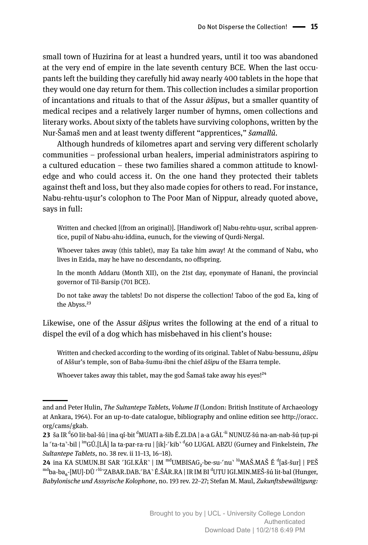small town of Huzirina for at least a hundred years, until it too was abandoned at the very end of empire in the late seventh century BCE. When the last occupants left the building they carefully hid away nearly 400 tablets in the hope that they would one day return for them. This collection includes a similar proportion of incantations and rituals to that of the Assur *āšipus*, but a smaller quantity of medical recipes and a relatively larger number of hymns, omen collections and literary works. About sixty of the tablets have surviving colophons, written by the Nur-Šamaš men and at least twenty different "apprentices," *šamallû*.

Although hundreds of kilometres apart and serving very different scholarly communities – professional urban healers, imperial administrators aspiring to a cultured education – these two families shared a common attitude to knowledge and who could access it. On the one hand they protected their tablets against theft and loss, but they also made copies for others to read. For instance, Nabu-rehtu-uṣur's colophon to The Poor Man of Nippur, already quoted above, says in full:

Written and checked [(from an original)]. [Handiwork of] Nabu-rehtu-uṣur, scribal apprentice, pupil of Nabu-ahu-iddina, eunuch, for the viewing of Qurdi-Nergal.

Whoever takes away (this tablet), may Ea take him away! At the command of Nabu, who lives in Ezida, may he have no descendants, no offspring.

In the month Addaru (Month XII), on the 21st day, eponymate of Hanani, the provincial governor of Til-Barsip (701 BCE).

Do not take away the tablets! Do not disperse the collection! Taboo of the god Ea, king of the Abyss.<sup>23</sup>

Likewise, one of the Assur *āšipus* writes the following at the end of a ritual to dispel the evil of a dog which has misbehaved in his client's house:

Written and checked according to the wording of its original. Tablet of Nabu-bessunu, *āšipu* of Aššur's temple, son of Baba-šumu-ibni the chief *āšipu* of the Ešarra temple.

Whoever takes away this tablet, may the god Šamaš take away his eyes!<sup>24</sup>

and and Peter Hulin, *The Sultantepe Tablets, Volume II* (London: British Institute of Archaeology at Ankara, 1964). For an up-to-date catalogue, bibliography and online edition see http://oracc. org/cams/gkab.

**<sup>23</sup>** ša IR <sup>d</sup>60 lit-bal-šú | ina qí-bit <sup>d</sup>MUATI a-šib É.ZI.DA | a-a GÁL<sup>-ši</sup> NUNUZ-šú na-an-nab-šú ṭup-pi la ˹ta-ta˺-bil | imGÚ.[LÁ] la ta-par-ra-ru | [ik]-˹kib˺ d 60 LUGAL ABZU (Gurney and Finkelstein, *The Sultantepe Tablets*, no. 38 rev. ii 11–13, 16–18).

**<sup>24</sup>** ina KA SUMUN.BI SAR <sup>T</sup>IGI.KÁR` | IM <sup>md</sup>UMBISAG<sub>3</sub>-be-su-'nu<sup>¬ lú</sup>MAŠ.MAŠ É <sup>d</sup>[aš-šur] | PEŠ **24** ina KA SUMUN.BI SAR 'IGI.KÁR' | IM <sup>ma</sup>UMBISAG<sub>2</sub>-be-su-'nu` <sup>m</sup>MAŠ.MAŠ Ė "[aš-šur] | PEŠ<br><sup>md</sup>ba-ba<sub>6</sub>-[MU]-DÙ <sup>rlú</sup> ZABAR.DAB.'BA` É.ŠÁR.RA | IR IM BI <sup>d</sup>UTU IGI.MIN.MEŠ-šú lit-bal (Hunger, *Babylonische und Assyrische Kolophone*, no. 193 rev. 22–27; Stefan M. Maul, *Zukunftsbewältigung:*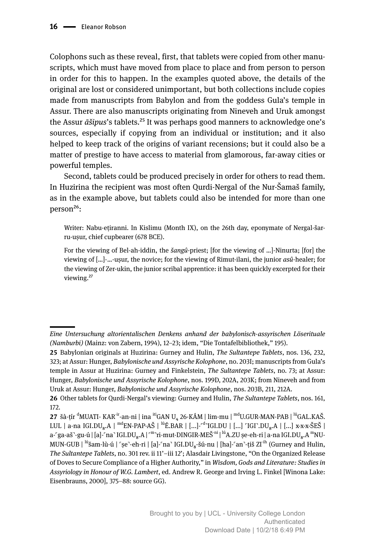Colophons such as these reveal, first, that tablets were copied from other manuscripts, which must have moved from place to place and from person to person in order for this to happen. In the examples quoted above, the details of the original are lost or considered unimportant, but both collections include copies made from manuscripts from Babylon and from the goddess Gula's temple in Assur. There are also manuscripts originating from Nineveh and Uruk amongst the Assur  $\bar{a}$ *sipus*'s tablets.<sup>25</sup> It was perhaps good manners to acknowledge one's sources, especially if copying from an individual or institution; and it also helped to keep track of the origins of variant recensions; but it could also be a matter of prestige to have access to material from glamorous, far-away cities or powerful temples.

Second, tablets could be produced precisely in order for others to read them. In Huzirina the recipient was most often Qurdi-Nergal of the Nur-Šamaš family, as in the example above, but tablets could also be intended for more than one person<sup>26</sup>:

Writer: Nabu-eṭiranni. In Kislimu (Month IX), on the 26th day, eponymate of Nergal-šarru-uṣur, chief cupbearer (678 BCE).

For the viewing of Bel-ah-iddin, the *šangû*-priest; [for the viewing of …]-Ninurta; [for] the viewing of […]-…-uṣur, the novice; for the viewing of Rimut-ilani, the junior *asû-*healer; for the viewing of Zer-ukin, the junior scribal apprentice: it has been quickly excerpted for their viewing.<sup>27</sup>

*Eine Untersuchung altorientalischen Denkens anhand der babylonisch-assyrischen Löserituale (Namburbi)* (Mainz: von Zabern, 1994), 12–23; idem, "Die Tontafelbibliothek," 195).

**<sup>25</sup>** Babylonian originals at Huzirina: Gurney and Hulin, *The Sultantepe Tablets*, nos. 136, 232, 323; at Assur: Hunger, *Babylonische und Assyrische Kolophone*, no. 203I; manuscripts from Gula's temple in Assur at Huzirina: Gurney and Finkelstein, *The Sultantepe Tablets*, no. 73; at Assur: Hunger, *Babylonische und Assyrische Kolophone*, nos. 199D, 202A, 203K; from Nineveh and from Uruk at Assur: Hunger, *Babylonische und Assyrische Kolophone*, nos. 203B, 211, 212A.

**<sup>26</sup>** Other tablets for Qurdi-Nergal's viewing: Gurney and Hulin, *The Sultantepe Tablets*, nos. 161, 172.

**<sup>27</sup>** šà-ṭír <sup>d</sup>MUATI- KAR<sup>-ir</sup>-an-ni | ina <sup>iti</sup>GAN U<sub>4</sub> 26-KÁM | lim-mu | <sup>md</sup>U.GUR-MAN-PAB | <sup>lú</sup>GAL.KAŠ. LUL | a-na IGI.DU<sub>s</sub>.A | <sup>md</sup>EN-PAP-AŠ | <sup>lú</sup>É.BAR | [...]<sup>-rd</sup>·IGI.DU | [...] <sup>-</sup>IGI<sup>.</sup>.DU<sub>s</sub>.A | [...] x-x-x-ŠEŠ | a-「ga-aš'-gu-ú | [a]-「na` IGI.DU<sub>s</sub>.A | 「<sup>m</sup>ˈri-mut-DINGIR-MEŠ<sup>-ni</sup> | <sup>lú</sup>A.ZU șe-eh-ri | a-na IGI.DU<sub>s</sub>.A <sup>m</sup>NU-MUN-GUB  $\vert$ <sup>lú</sup>šam-lù-ú  $\vert$  'se'-eh-ri  $\vert$  [a]-'na' IGI.DU<sub>s</sub>-šú-nu  $\vert$  [ha]-'an'-tiš ZI<sup>-ih</sup> (Gurney and Hulin, *The Sultantepe Tablets*, no. 301 rev. ii 11'–iii 12'; Alasdair Livingstone, "On the Organized Release of Doves to Secure Compliance of a Higher Authority," in *Wisdom, Gods and Literature: Studies in Assyriology in Honour of W.G. Lambert*, ed. Andrew R. George and Irving L. Finkel [Winona Lake: Eisenbrauns, 2000], 375–88: source GG).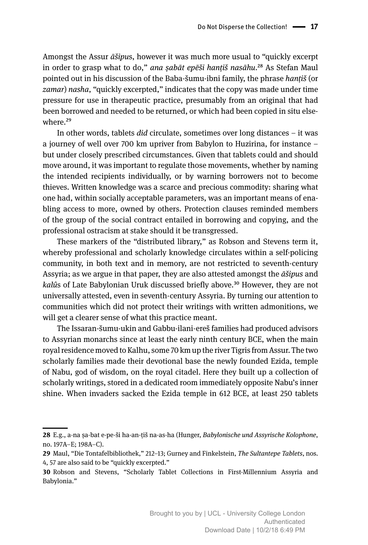Amongst the Assur *āšipu*s, however it was much more usual to "quickly excerpt in order to grasp what to do," *ana ṣabāt epēši hanṭiš nasāhu*.28 As Stefan Maul pointed out in his discussion of the Baba-šumu-ibni family, the phrase *hanṭiš* (or *zamar*) *nasha*, "quickly excerpted," indicates that the copy was made under time pressure for use in therapeutic practice, presumably from an original that had been borrowed and needed to be returned, or which had been copied in situ elsewhere.29

In other words, tablets *did* circulate, sometimes over long distances – it was a journey of well over 700 km upriver from Babylon to Huzirina, for instance – but under closely prescribed circumstances. Given that tablets could and should move around, it was important to regulate those movements, whether by naming the intended recipients individually, or by warning borrowers not to become thieves. Written knowledge was a scarce and precious commodity: sharing what one had, within socially acceptable parameters, was an important means of enabling access to more, owned by others. Protection clauses reminded members of the group of the social contract entailed in borrowing and copying, and the professional ostracism at stake should it be transgressed.

These markers of the "distributed library," as Robson and Stevens term it, whereby professional and scholarly knowledge circulates within a self-policing community, in both text and in memory, are not restricted to seventh-century Assyria; as we argue in that paper, they are also attested amongst the *āšipus* and kalûs of Late Babylonian Uruk discussed briefly above.<sup>30</sup> However, they are not universally attested, even in seventh-century Assyria. By turning our attention to communities which did not protect their writings with written admonitions, we will get a clearer sense of what this practice meant.

The Issaran-šumu-ukin and Gabbu-ilani-ereš families had produced advisors to Assyrian monarchs since at least the early ninth century BCE, when the main royal residence moved to Kalhu, some 70 km up the river Tigris from Assur. The two scholarly families made their devotional base the newly founded Ezida, temple of Nabu, god of wisdom, on the royal citadel. Here they built up a collection of scholarly writings, stored in a dedicated room immediately opposite Nabu's inner shine. When invaders sacked the Ezida temple in 612 BCE, at least 250 tablets

**<sup>28</sup>** E.g., a-na ṣa-bat e-pe-ši ha-an-ṭiš na-as-ha (Hunger, *Babylonische und Assyrische Kolophone*, no. 197A–E; 198A–C).

**<sup>29</sup>** Maul, "Die Tontafelbibliothek," 212–13; Gurney and Finkelstein, *The Sultantepe Tablets*, nos. 4, 57 are also said to be "quickly excerpted."

**<sup>30</sup>** Robson and Stevens, "Scholarly Tablet Collections in First-Millennium Assyria and Babylonia."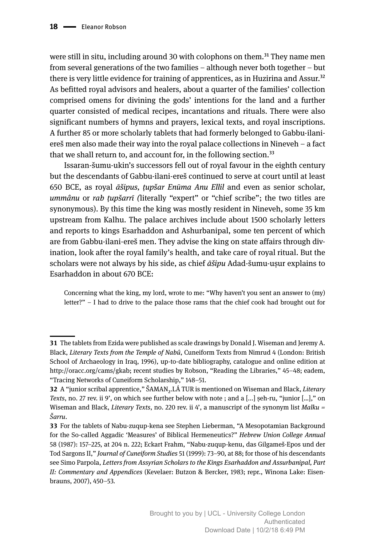were still in situ, including around 30 with colophons on them.<sup>31</sup> They name men from several generations of the two families – although never both together – but there is very little evidence for training of apprentices, as in Huzirina and Assur.<sup>32</sup> As befitted royal advisors and healers, about a quarter of the families' collection comprised omens for divining the gods' intentions for the land and a further quarter consisted of medical recipes, incantations and rituals. There were also significant numbers of hymns and prayers, lexical texts, and royal inscriptions. A further 85 or more scholarly tablets that had formerly belonged to Gabbu- ilaniereš men also made their way into the royal palace collections in Nineveh – a fact that we shall return to, and account for, in the following section.<sup>33</sup>

Issaran-šumu-ukin's successors fell out of royal favour in the eighth century but the descendants of Gabbu-ilani-ereš continued to serve at court until at least 650 BCE, as royal *āšipus, ṭupšar Enūma Anu Ellil* and even as senior scholar, *ummânu* or *rab ṭupšarrī (*literally "expert" or "chief scribe"; the two titles are synonymous). By this time the king was mostly resident in Nineveh, some 35 km upstream from Kalhu. The palace archives include about 1500 scholarly letters and reports to kings Esarhaddon and Ashurbanipal, some ten percent of which are from Gabbu-ilani-ereš men. They advise the king on state affairs through divination, look after the royal family's health, and take care of royal ritual. But the scholars were not always by his side, as chief *āšipu* Adad-šumu-uṣur explains to Esarhaddon in about 670 BCE:

Concerning what the king, my lord, wrote to me: "Why haven't you sent an answer to (my) letter?" – I had to drive to the palace those rams that the chief cook had brought out for

**<sup>31</sup>** The tablets from Ezida were published as scale drawings by Donald J. Wiseman and Jeremy A. Black, *Literary Texts from the Temple of Nabû*, Cuneiform Texts from Nimrud 4 (London: British School of Archaeology in Iraq, 1996), up-to-date bibliography, catalogue and online edition at http://oracc.org/cams/gkab; recent studies by Robson, "Reading the Libraries," 45–48; eadem, "Tracing Networks of Cuneiform Scholarship," 148–51.

**<sup>32</sup>** A "junior scribal apprentice," ŠAMAN₂.LÁ TUR is mentioned on Wiseman and Black, *Literary Texts*, no. 27 rev. ii 9', on which see further below with note ; and a [...] ṣeh-ru, "junior […]," on Wiseman and Black, *Literary Texts*, no. 220 rev. ii 4', a manuscript of the synonym list *Malku = Šarru*.

**<sup>33</sup>** For the tablets of Nabu-zuqup-kena see Stephen Lieberman, "A Mesopotamian Background for the So-called Aggadic 'Measures' of Biblical Hermeneutics?" *Hebrew Union College Annual* 58 (1987): 157–225, at 204 n. 222; Eckart Frahm, "Nabu-zuqup-kenu, das Gilgameš-Epos und der Tod Sargons II," *Journal of Cuneiform Studies* 51 (1999): 73–90, at 88; for those of his descendants see Simo Parpola, *Letters from Assyrian Scholars to the Kings Esarhaddon and Assurbanipal, Part II: Commentary and Appendices* (Kevelaer: Butzon & Bercker, 1983; repr., Winona Lake: Eisenbrauns, 2007), 450–53.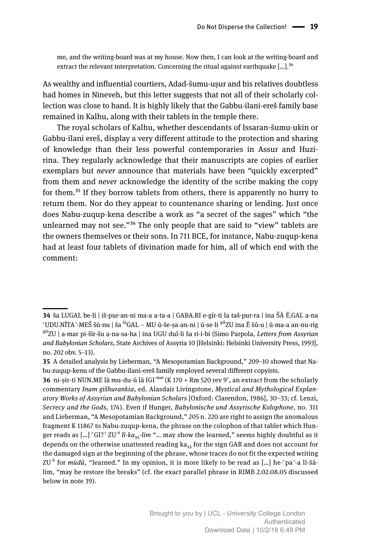me, and the writing-board was at my house. Now then, I can look at the writing-board and extract the relevant interpretation. Concerning the ritual against earthquake [...].<sup>34</sup>

As wealthy and influential courtiers, Adad-šumu-usur and his relatives doubtless had homes in Nineveh, but this letter suggests that not all of their scholarly collection was close to hand. It is highly likely that the Gabbu-ilani-ereš family base remained in Kalhu, along with their tablets in the temple there.

The royal scholars of Kalhu, whether descendants of Issaran-šumu-ukin or Gabbu-ilani ereš, display a very different attitude to the protection and sharing of knowledge than their less powerful contemporaries in Assur and Huzirina. They regularly acknowledge that their manuscripts are copies of earlier exemplars but *never* announce that materials have been "quickly excerpted" from them and *never* acknowledge the identity of the scribe making the copy for them.<sup>35</sup> If they borrow tablets from others, there is apparently no hurry to return them. Nor do they appear to countenance sharing or lending. Just once does Nabu-zuqup-kena describe a work as "a secret of the sages" which "the unlearned may not see."<sup>36</sup> The only people that are said to "view" tablets are the owners themselves or their sons. In 711 BCE, for instance, Nabu-zuqup-kena had at least four tablets of divination made for him, all of which end with the comment:

**<sup>34</sup>** ša LUGAL be-lí | iš-pur-an-ni ma-a a-ta-a | GABA.RI e-gír-ti la taš-pur-ra | ina ŠÀ É.GAL a-na ˹UDU.NÍTA˺-MEŠ šú-nu | ša lúGAL – MU ú-še-ṣa-an-ni | ú-se-li gišZU ina É šú-u | ú-ma-a an-nu-rig gišZU | a-mar pi-šìr-šu a-na-sa-ha | ina UGU dul-li ša ri-i-bi (Simo Parpola, *Letters from Assyrian and Babylonian Scholars*, State Archives of Assyria 10 [Helsinki: Helsinki University Press, 1993], no. 202 obv. 5–13).

**<sup>35</sup>** A detailed analysis by Lieberman, "A Mesopotamian Background," 209–10 showed that Nabu-zuqup-kenu of the Gabbu-ilani-ereš family employed several different copyists.

**<sup>36</sup>** ni-ṣir-ti NUN.ME là mu-du-ú là IGI-mar (K 170 + Rm 520 rev 9', an extract from the scholarly commentary *Inam gišhurankia*, ed. Alasdair Livingstone, *Mystical and Mythological Explanatory Works of Assyrian and Babylonian Scholars* [Oxford: Clarendon, 1986], 30–33; cf. Lenzi, *Secrecy and the Gods*, 174). Even if Hunger, *Babylonische und Assyrische Kolophone*, no. 311 and Lieberman, "A Mesopotamian Background," 205 n. 220 are right to assign the anomalous fragment K 11867 to Nabu-zuqup-kena, the phrase on the colophon of that tablet which Hunger reads as [...] <sup>r</sup>GI?<sup>*n*</sup> *l*i-*ka*<sub>ıs</sub>-*lim* "... may show the learned," seems highly doubtful as it depends on the otherwise unattested reading  $ka_{15}$  for the sign GAR and does not account for the damaged sign at the beginning of the phrase, whose traces do not fit the expected writing ZU-ú for *mūdû*, "learned." In my opinion, it is more likely to be read as […] he-˹pa˺-a lì-šálim, "may he restore the breaks" (cf. the exact parallel phrase in RIMB 2.02.08.05 discussed below in note 39).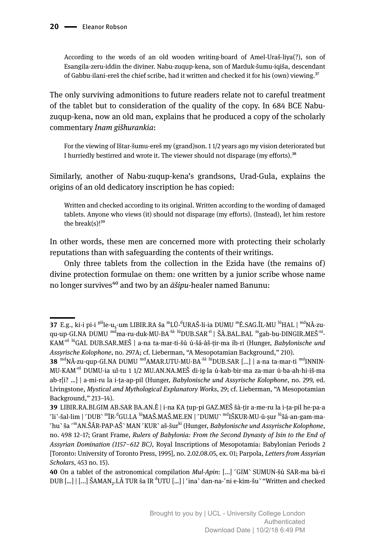According to the words of an old wooden writing-board of Amel-Uraš-liya(?), son of Esangila-zeru-iddin the diviner. Nabu-zuqup-kena, son of Marduk-šumu-iqiša, descendant of Gabbu-ilani-ereš the chief scribe, had it written and checked it for his (own) viewing.37

The only surviving admonitions to future readers relate not to careful treatment of the tablet but to consideration of the quality of the copy. In 684 BCE Nabuzuqup-kena, now an old man, explains that he produced a copy of the scholarly commentary *Inam gišhurankia*:

For the viewing of Ištar-šumu-ereš my (grand)son. 1 1/2 years ago my vision deteriorated but I hurriedly bestirred and wrote it. The viewer should not disparage (my efforts).<sup>38</sup>

Similarly, another of Nabu-zuqup-kena's grandsons, Urad-Gula, explains the origins of an old dedicatory inscription he has copied:

Written and checked according to its original. Written according to the wording of damaged tablets. Anyone who views (it) should not disparage (my efforts). (Instead), let him restore the break(s)! $39$ 

In other words, these men are concerned more with protecting their scholarly reputations than with safeguarding the contents of their writings.

Only three tablets from the collection in the Ezida have (the remains of) divine protection formulae on them: one written by a junior scribe whose name no longer survives<sup>40</sup> and two by an  $\bar{a}$ *sipu*-healer named Banunu:

**<sup>37</sup>** E.g., ki-i pi-i <sup>giš</sup>le-u<sub>5</sub>-um LIBIR.RA ša <sup>m</sup>LÚ-<sup>d</sup>URAŠ-li-ia DUMU <sup>m</sup>É.SAG.ÍL-MU <sup>lú</sup>HAL | <sup>md</sup>NÀ-zuqu-up-GI.NA DUMU md<sub>ma-ru-duk-MU-BA</sub><sup>-šá lú</sup>DUB.SAR<sup>-rì</sup> | ŠÀ.BAL.BAL <sup>m</sup>gab-bu-DINGIR.MEŠ<sup>-ni</sup>-KAM-eš lúGAL DUB.SAR.MEŠ | a-na ta-mar-ti-šú ú-šá-áš-ṭir-ma íb-ri (Hunger, *Babylonische und Assyrische Kolophone*, no. 297A; cf. Lieberman, "A Mesopotamian Background," 210).

**<sup>38</sup>** md<sub>NA-zu-qup-GI.NA DUMU md<sub>AMAR</sub>.UTU-MU-BA<sup>-šá lú</sup>DUB.SAR [...] | a-na ta-mar-ti <sup>md</sup>INNIN-</sub> MU-KAM-eš DUMU-ia ul-tu 1 1/2 MU.AN.NA.MEŠ di-ig-la ú-kab-bir-ma za-mar ú-ba-ah-hi-iš-ma ab-r[i? …] | a-mi-ru la i-ṭa-ap-pil (Hunger, *Babylonische und Assyrische Kolophone*, no. 299, ed. Livingstone, *Mystical and Mythological Explanatory Works*, 29; cf. Lieberman, "A Mesopotamian Background," 213–14).

**<sup>39</sup>** LIBIR.RA.BI.GIM AB.SAR BA.AN.È | i-na KA ṭup-pi GAZ.MEŠ šà-ṭir a-me-ru la i-ṭa-pil he-pa-a "li'-šal-lim | 'DUB' <sup>m</sup>ÌR-<sup>d</sup>GU.LA <sup>lú</sup>MAŠ.MAŠ.ME.EN | 'DUMU' <sup>md</sup>IŠKUR-MU-ú-ṣur <sup>lú</sup>šá-an-gam-ma-˹hu˺ ša ˹mAN.ŠÁR-PAP-AŠ˺ MAN ˹KUR˺ aš-šurki (Hunger, *Babylonische und Assyrische Kolophone*, no. 498 12–17; Grant Frame, *Rulers of Babylonia: From the Second Dynasty of Isin to the End of Assyrian Domination (1157–612 BC)*, Royal Inscriptions of Mesopotamia: Babylonian Periods 2 [Toronto: University of Toronto Press, 1995], no. 2.02.08.05, ex. 01; Parpola, *Letters from Assyrian Scholars*, 453 no. 15).

**<sup>40</sup>** On a tablet of the astronomical compilation *Mul-Apin*: [...] ˹GIM˺ SUMUN-šú SAR-ma bà-rì DUB […] | […] ŠAMAN<sub>2</sub>.LÁ TUR ša IR <sup>d</sup>UTU […] | 'ina' dan-na-'ni e-kim-šu' "Written and checked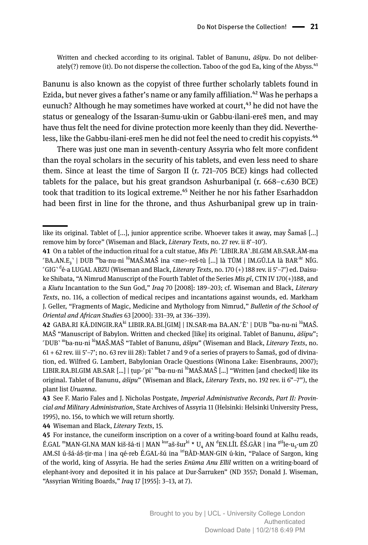Written and checked according to its original. Tablet of Banunu, *āšipu*. Do not deliberately(?) remove (it). Do not disperse the collection. Taboo of the god Ea, king of the Abyss.<sup>41</sup>

Banunu is also known as the copyist of three further scholarly tablets found in Ezida, but never gives a father's name or any family affiliation.<sup>42</sup> Was he perhaps a eunuch? Although he may sometimes have worked at court,<sup>43</sup> he did not have the status or genealogy of the Issaran-šumu-ukin or Gabbu-ilani-ereš men, and may have thus felt the need for divine protection more keenly than they did. Nevertheless, like the Gabbu-ilani-ereš men he did not feel the need to credit his copyists.<sup>44</sup>

There was just one man in seventh-century Assyria who felt more confident than the royal scholars in the security of his tablets, and even less need to share them. Since at least the time of Sargon II (r. 721–705 BCE) kings had collected tablets for the palace, but his great grandson Ashurbanipal (r. 668–c.630 BCE) took that tradition to its logical extreme.<sup>45</sup> Neither he nor his father Esarhaddon had been first in line for the throne, and thus Ashurbanipal grew up in train-

like its original. Tablet of [...], junior apprentice scribe. Whoever takes it away, may Šamaš [...] remove him by force" (Wiseman and Black, *Literary Texts*, no. 27 rev. ii 8'–10').

**<sup>41</sup>** On a tablet of the induction ritual for a cult statue, *Mīs Pî*: ˹LIBIR.RA˺.BI.GIM AB.SAR.ÀM-ma ˹BA.AN.E₃˺ | DUB mba-nu-ni lúMAŠ.MAŠ ina <me>-reš-tù [...] là TÙM | IM.GÚ.LA là BAR-ár NÍG. ˹GIG˺ d é-a LUGAL ABZU (Wiseman and Black, *Literary Texts*, no. 170 (+) 188 rev. ii 5'–7') ed. Daisuke Shibata, "A Nimrud Manuscript of the Fourth Tablet of the Series *Mīs pî*, CTN IV 170(+)188, and a *Kiutu* Incantation to the Sun God," *Iraq* 70 [2008]: 189–203; cf. Wiseman and Black, *Literary Texts*, no. 116, a collection of medical recipes and incantations against wounds, ed. Markham J. Geller, "Fragments of Magic, Medicine and Mythology from Nimrud," *Bulletin of the School of Oriental and African Studies* 63 [2000]: 331–39, at 336–339).

<sup>42</sup> GABA.RI KÁ.DINGIR.RA<sup>ki</sup> LIBIR.RA.BI.[GIM] | IN.SAR-ma BA.AN.<sup>。</sup>È` | DUB <sup>m</sup>ba-nu-ni <sup>lú</sup>MAŠ. MAŠ "Manuscript of Babylon. Written and checked [like] its original. Tablet of Banunu, *āšipu*"; ˹DUB˺ mba-nu-ni lúMAŠ.MAŠ "Tablet of Banunu, *āšipu*" (Wiseman and Black, *Literary Texts*, no.  $61 + 62$  rev. iii 5'–7'; no. 63 rev iii 28): Tablet 7 and 9 of a series of prayers to Šamaš, god of divination, ed. Wilfred G. Lambert, Babylonian Oracle Questions (Winona Lake: Eisenbrauns, 2007); LIBIR.RA.BI.GIM AB.SAR [...] | t̪up-「pi' <sup>m</sup>ba-nu-ni <sup>lú</sup>MAŠ.MAŠ [...] "Written [and checked] like its original. Tablet of Banunu, *āšipu*" (Wiseman and Black, *Literary Texts*, no. 192 rev. ii 6"–7"), the plant list *Uruanna*.

**<sup>43</sup>** See F. Mario Fales and J. Nicholas Postgate, *Imperial Administrative Records, Part II: Provincial and Military Administration*, State Archives of Assyria 11 (Helsinki: Helsinki University Press, 1995), no. 156, to which we will return shortly.

**<sup>44</sup>** Wiseman and Black, *Literary Texts*, 15.

**<sup>45</sup>** For instance, the cuneiform inscription on a cover of a writing-board found at Kalhu reads, É.GAL ™MAN-GI.NA MAN kiš-šá-ti | MAN <sup>kur</sup>aš-šur<sup>ki</sup> \* U<sub>4</sub> AN <sup>d</sup>EN.LÍL ÉŠ.GÀR | ina <sup>giš</sup>le-u<sub>s</sub>-um ZÚ AM.SI ú-šá-áš-ṭir-ma | ina qé-reb É.GAL-šú ina iriBÀD-MAN-GIN ú-kin, "Palace of Sargon, king of the world, king of Assyria. He had the series *Enūma Anu Ellil* written on a writing-board of elephant-ivory and deposited it in his palace at Dur-Šarruken" (ND 3557; Donald J. Wiseman, "Assyrian Writing Boards," *Iraq* 17 [1955]: 3–13, at 7).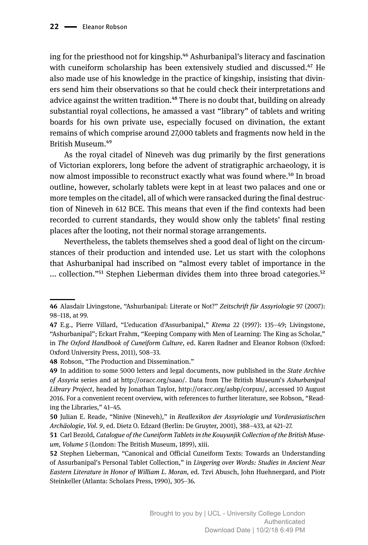ing for the priesthood not for kingship.<sup>46</sup> Ashurbanipal's literacy and fascination with cuneiform scholarship has been extensively studied and discussed.<sup>47</sup> He also made use of his knowledge in the practice of kingship, insisting that diviners send him their observations so that he could check their interpretations and advice against the written tradition.<sup>48</sup> There is no doubt that, building on already substantial royal collections, he amassed a vast "library" of tablets and writing boards for his own private use, especially focused on divination, the extant remains of which comprise around 27,000 tablets and fragments now held in the British Museum.49

As the royal citadel of Nineveh was dug primarily by the first generations of Victorian explorers, long before the advent of stratigraphic archaeology, it is now almost impossible to reconstruct exactly what was found where.50 In broad outline, however, scholarly tablets were kept in at least two palaces and one or more temples on the citadel, all of which were ransacked during the final destruction of Nineveh in 612 BCE. This means that even if the find contexts had been recorded to current standards, they would show only the tablets' final resting places after the looting, not their normal storage arrangements.

Nevertheless, the tablets themselves shed a good deal of light on the circumstances of their production and intended use. Let us start with the colophons that Ashurbanipal had inscribed on "almost every tablet of importance in the ... collection."<sup>51</sup> Stephen Lieberman divides them into three broad categories.<sup>52</sup>

**48** Robson, "The Production and Dissemination."

**<sup>46</sup>** Alasdair Livingstone, "Ashurbanipal: Literate or Not?" *Zeitschrift für Assyriologie* 97 (2007): 98–118, at 99.

**<sup>47</sup>** E.g., Pierre Villard, "L'education d'Assurbanipal," *Ktema* 22 (1997): 135–49; Livingstone, "Ashurbanipal"; Eckart Frahm, "Keeping Company with Men of Learning: The King as Scholar," in *The Oxford Handbook of Cuneiform Culture*, ed. Karen Radner and Eleanor Robson (Oxford: Oxford University Press, 2011), 508–33.

**<sup>49</sup>** In addition to some 5000 letters and legal documents, now published in the *State Archive of Assyria* series and at http://oracc.org/saao/. Data from The British Museum's *Ashurbanipal Library Project*, headed by Jonathan Taylor, http://oracc.org/asbp/corpus/, accessed 10 August 2016. For a convenient recent overview, with references to further literature, see Robson, "Reading the Libraries," 41–45.

**<sup>50</sup>** Julian E. Reade, "Ninive (Nineveh)," in *Reallexikon der Assyriologie und Vorderasiatischen Archäologie, Vol. 9*, ed. Dietz O. Edzard (Berlin: De Gruyter, 2001), 388–433, at 421–27.

**<sup>51</sup>** Carl Bezold, *Catalogue of the Cuneiform Tablets in the Kouyunjik Collection of the British Museum*, *Volume 5* (London: The British Museum, 1899), xiii.

**<sup>52</sup>** Stephen Lieberman, "Canonical and Official Cuneiform Texts: Towards an Understanding of Assurbanipal's Personal Tablet Collection," in *Lingering over Words: Studies in Ancient Near Eastern Literature in Honor of William L. Moran*, ed. Tzvi Abusch, John Huehnergard, and Piotr Steinkeller (Atlanta: Scholars Press, 1990), 305–36.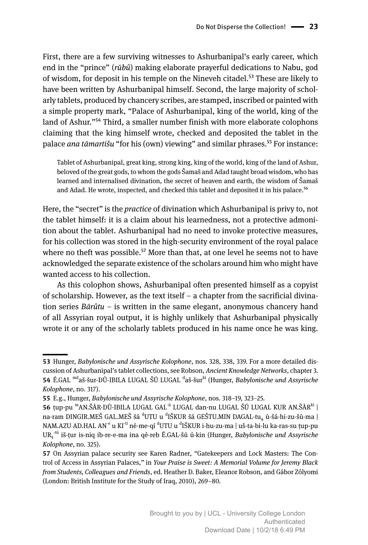First, there are a few surviving witnesses to Ashurbanipal's early career, which end in the "prince" (*rūbû*) making elaborate prayerful dedications to Nabu, god of wisdom, for deposit in his temple on the Nineveh citadel.<sup>53</sup> These are likely to have been written by Ashurbanipal himself. Second, the large majority of scholarly tablets, produced by chancery scribes, are stamped, inscribed or painted with a simple property mark, "Palace of Ashurbanipal, king of the world, king of the land of Ashur."54 Third, a smaller number finish with more elaborate colophons claiming that the king himself wrote, checked and deposited the tablet in the palace *ana tāmartišu* "for his (own) viewing" and similar phrases.55 For instance:

Tablet of Ashurbanipal, great king, strong king, king of the world, king of the land of Ashur, beloved of the great gods, to whom the gods Šamaš and Adad taught broad wisdom, who has learned and internalised divination, the secret of heaven and earth, the wisdom of Šamaš and Adad. He wrote, inspected, and checked this tablet and deposited it in his palace.<sup>56</sup>

Here, the "secret" is the *practice* of divination which Ashurbanipal is privy to, not the tablet himself: it is a claim about his learnedness, not a protective admonition about the tablet. Ashurbanipal had no need to invoke protective measures, for his collection was stored in the high-security environment of the royal palace where no theft was possible.<sup>57</sup> More than that, at one level he seems not to have acknowledged the separate existence of the scholars around him who might have wanted access to his collection.

As this colophon shows, Ashurbanipal often presented himself as a copyist of scholarship. However, as the text itself – a chapter from the sacrificial divination series *Bārûtu* – is written in the same elegant, anonymous chancery hand of all Assyrian royal output, it is highly unlikely that Ashurbanipal physically wrote it or any of the scholarly tablets produced in his name once he was king.

**<sup>53</sup>** Hunger, *Babylonische und Assyrische Kolophone*, nos. 328, 338, 339. For a more detailed discussion of Ashurbanipal's tablet collections, see Robson, *Ancient Knowledge Networks*, chapter 3. **54** É.GAL mdaš-šur-DÙ-IBILA LUGAL ŠÚ LUGAL d aš-šurki (Hunger, *Babylonische und Assyrische Kolophone*, no. 317).

**<sup>55</sup>** E.g., Hunger, *Babylonische und Assyrische Kolophone*, nos. 318–19, 323–25.

**<sup>56</sup>** ṭup-pu mAN.ŠÀR-DÙ-IBILA LUGAL GAL-ú LUGAL dan-nu LUGAL ŠÚ LUGAL KUR AN.ŠÀRki | na-ram DINGIR.MEŠ GAL.MEŠ šá <sup>d</sup>UTU u <sup>d</sup>IŠKUR šá GEŠTU.MIN DAGAL-tu<sub>4</sub> ú-šá-hi-zu-šú-ma | NAM.AZU AD.HAL AN<sup>-e</sup> u KI<sup>-tì</sup> né-me-qí <sup>d</sup>UTU u <sup>d</sup>IŠKUR i-hu-zu-ma | uš-ta-bi-lu ka-ras-su ṭup-pu UR₅-tú iš-ṭur is-niq ib-re-e-ma ina qé-reb É.GAL-šú ú-kin (Hunger, *Babylonische und Assyrische Kolophone*, no. 325).

**<sup>57</sup>** On Assyrian palace security see Karen Radner, "Gatekeepers and Lock Masters: The Control of Access in Assyrian Palaces," in *Your Praise is Sweet: A Memorial Volume for Jeremy Black from Students, Colleagues and Friends*, ed. Heather D. Baker, Eleanor Robson, and Gábor Zólyomi (London: British Institute for the Study of Iraq, 2010), 269–80.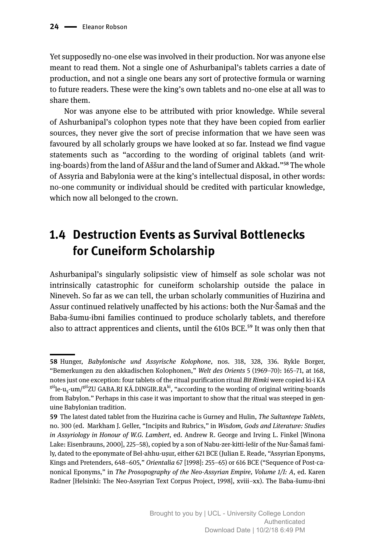Yet supposedly no-one else was involved in their production. Nor was anyone else meant to read them. Not a single one of Ashurbanipal's tablets carries a date of production, and not a single one bears any sort of protective formula or warning to future readers. These were the king's own tablets and no-one else at all was to share them.

Nor was anyone else to be attributed with prior knowledge. While several of Ashurbanipal's colophon types note that they have been copied from earlier sources, they never give the sort of precise information that we have seen was favoured by all scholarly groups we have looked at so far. Instead we find vague statements such as "according to the wording of original tablets (and writing-boards) from the land of Aššur and the land of Sumer and Akkad."<sup>58</sup> The whole of Assyria and Babylonia were at the king's intellectual disposal, in other words: no-one community or individual should be credited with particular knowledge, which now all belonged to the crown.

## **1.4 Destruction Events as Survival Bottlenecks for Cuneiform Scholarship**

Ashurbanipal's singularly solipsistic view of himself as sole scholar was not intrinsically catastrophic for cuneiform scholarship outside the palace in Nineveh. So far as we can tell, the urban scholarly communities of Huzirina and Assur continued relatively unaffected by his actions: both the Nur-Šamaš and the Baba-šumu-ibni families continued to produce scholarly tablets, and therefore also to attract apprentices and clients, until the 610s BCE.59 It was only then that

**<sup>58</sup>** Hunger, *Babylonische und Assyrische Kolophone*, nos. 318, 328, 336. Rykle Borger, " Bemerkungen zu den akkadischen Kolophonen," *Welt des Orients* 5 (1969–70): 165–71, at 168, notes just one exception: four tablets of the ritual purification ritual *Bīt Rimki* were copied ki-i KA <sup>giš</sup>le-u<sub>s</sub>-um/<sup>giš</sup>ZU GABA.RI KÁ.DINGIR.RA<sup>ki</sup>, "according to the wording of original writing-boards from Babylon." Perhaps in this case it was important to show that the ritual was steeped in genuine Babylonian tradition.

**<sup>59</sup>** The latest dated tablet from the Huzirina cache is Gurney and Hulin, *The Sultantepe Tablets*, no. 300 (ed. Markham J. Geller, "Incipits and Rubrics," in *Wisdom, Gods and Literature: Studies in Assyriology in Honour of W.G. Lambert*, ed. Andrew R. George and Irving L. Finkel [Winona Lake: Eisenbrauns, 2000], 225–58), copied by a son of Nabu-zer-kitti-lešir of the Nur-Šamaš family, dated to the eponymate of Bel-ahhu-uṣur, either 621 BCE (Julian E. Reade, "Assyrian Eponyms, Kings and Pretenders, 648–605," *Orientalia* 67 [1998]: 255–65) or 616 BCE ("Sequence of Post-canonical Eponyms," in *The Prosopography of the Neo-Assyrian Empire, Volume 1/I: A*, ed. Karen Radner [Helsinki: The Neo-Assyrian Text Corpus Project, 1998], xviii–xx). The Baba-šumu-ibni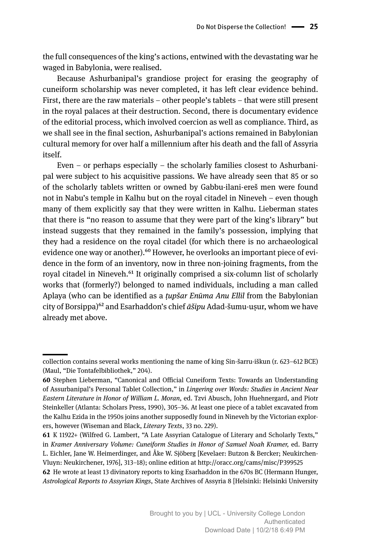the full consequences of the king's actions, entwined with the devastating war he waged in Babylonia, were realised.

Because Ashurbanipal's grandiose project for erasing the geography of cuneiform scholarship was never completed, it has left clear evidence behind. First, there are the raw materials – other people's tablets – that were still present in the royal palaces at their destruction. Second, there is documentary evidence of the editorial process, which involved coercion as well as compliance. Third, as we shall see in the final section, Ashurbanipal's actions remained in Babylonian cultural memory for over half a millennium after his death and the fall of Assyria itself.

Even – or perhaps especially – the scholarly families closest to Ashurbanipal were subject to his acquisitive passions. We have already seen that 85 or so of the scholarly tablets written or owned by Gabbu-ilani-ereš men were found not in Nabu's temple in Kalhu but on the royal citadel in Nineveh – even though many of them explicitly say that they were written in Kalhu. Lieberman states that there is "no reason to assume that they were part of the king's library" but instead suggests that they remained in the family's possession, implying that they had a residence on the royal citadel (for which there is no archaeological evidence one way or another).<sup>60</sup> However, he overlooks an important piece of evidence in the form of an inventory, now in three non-joining fragments, from the royal citadel in Nineveh.<sup>61</sup> It originally comprised a six-column list of scholarly works that (formerly?) belonged to named individuals, including a man called Aplaya (who can be identified as a *ṭupšar Enūma Anu Ellil* from the Babylonian city of Borsippa)62 and Esarhaddon's chief *āšipu* Adad-šumu-uṣur, whom we have already met above.

collection contains several works mentioning the name of king Sin-šarru-iškun (r. 623–612 BCE) (Maul, "Die Tontafelbibliothek," 204).

**<sup>60</sup>** Stephen Lieberman, "Canonical and Official Cuneiform Texts: Towards an Understanding of Assurbanipal's Personal Tablet Collection," in *Lingering over Words: Studies in Ancient Near Eastern Literature in Honor of William L. Moran*, ed. Tzvi Abusch, John Huehnergard, and Piotr Steinkeller (Atlanta: Scholars Press, 1990), 305–36. At least one piece of a tablet excavated from the Kalhu Ezida in the 1950s joins another supposedly found in Nineveh by the Victorian explorers, however (Wiseman and Black, *Literary Texts*, 33 no. 229).

**<sup>61</sup>** K 11922+ (Wilfred G. Lambert, "A Late Assyrian Catalogue of Literary and Scholarly Texts," in *Kramer Anniversary Volume: Cuneiform Studies in Honor of Samuel Noah Kramer, ed. Barry* L. Eichler, Jane W. Heimerdinger, and Åke W. Sjöberg [Kevelaer: Butzon & Bercker; Neukirchen-Vluyn: Neukirchener, 1976], 313–18); online edition at http://oracc.org/cams/misc/P399525

**<sup>62</sup>** He wrote at least 13 divinatory reports to king Esarhaddon in the 670s BC (Hermann Hunger, *Astrological Reports to Assyrian Kings*, State Archives of Assyria 8 [Helsinki: Helsinki University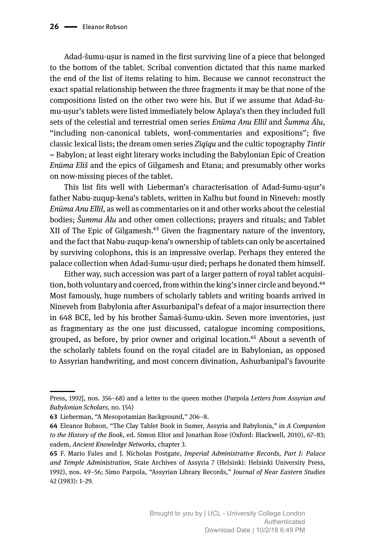Adad-šumu-uṣur is named in the first surviving line of a piece that belonged to the bottom of the tablet. Scribal convention dictated that this name marked the end of the list of items relating to him. Because we cannot reconstruct the exact spatial relationship between the three fragments it may be that none of the compositions listed on the other two were his. But if we assume that Adad-šumu-uṣur's tablets were listed immediately below Aplaya's then they included full sets of the celestial and terrestrial omen series *Enūma Anu Ellil* and *Šumma Ālu*, "including non-canonical tablets, word-commentaries and expositions"; five classic lexical lists; the dream omen series *Zīqīqu* and the cultic topography *Tintir* = Babylon; at least eight literary works including the Babylonian Epic of Creation *Enūma Eliš* and the epics of Gilgamesh and Etana; and presumably other works on now-missing pieces of the tablet.

This list fits well with Lieberman's characterisation of Adad-šumu-usur's father Nabu-zuqup-kena's tablets, written in Kalhu but found in Nineveh: mostly *Enūma Anu Ellil*, as well as commentaries on it and other works about the celestial bodies; *Šumma Ālu* and other omen collections; prayers and rituals; and Tablet XII of The Epic of Gilgamesh. $63$  Given the fragmentary nature of the inventory, and the fact that Nabu-zuqup-kena's ownership of tablets can only be ascertained by surviving colophons, this is an impressive overlap. Perhaps they entered the palace collection when Adad-šumu-uṣur died; perhaps he donated them himself.

Either way, such accession was part of a larger pattern of royal tablet acquisition, both voluntary and coerced, from within the king's inner circle and beyond.<sup>64</sup> Most famously, huge numbers of scholarly tablets and writing boards arrived in Nineveh from Babylonia after Assurbanipal's defeat of a major insurrection there in 648 BCE, led by his brother Šamaš-šumu-ukin. Seven more inventories, just as fragmentary as the one just discussed, catalogue incoming compositions, grouped, as before, by prior owner and original location.<sup>65</sup> About a seventh of the scholarly tablets found on the royal citadel are in Babylonian, as opposed to Assyrian handwriting, and most concern divination, Ashurbanipal's favourite

Press, 1992], nos. 356–68) and a letter to the queen mother (Parpola *Letters from Assyrian and Babylonian Scholars*, no. 154)

**<sup>63</sup>** Lieberman, "A Mesopotamian Background," 206–8.

**<sup>64</sup>** Eleanor Robson, "The Clay Tablet Book in Sumer, Assyria and Babylonia," in *A Companion to the History of the Book*, ed. Simon Eliot and Jonathan Rose (Oxford: Blackwell, 2010), 67–83; eadem, *Ancient Knowledge Networks*, chapter 3.

**<sup>65</sup>** F. Mario Fales and J. Nicholas Postgate, *Imperial Administrative Records, Part I: Palace and Temple Administration*, State Archives of Assyria 7 (Helsinki: Helsinki University Press, 1992), nos. 49–56; Simo Parpola, "Assyrian Library Records," *Journal of Near Eastern Studies* 42 (1983): 1–29.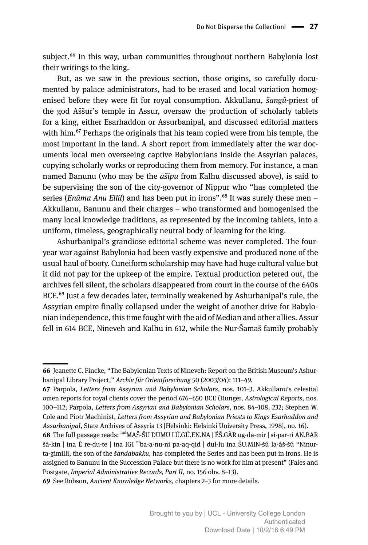subject.<sup>66</sup> In this way, urban communities throughout northern Babylonia lost their writings to the king.

But, as we saw in the previous section, those origins, so carefully documented by palace administrators, had to be erased and local variation homogenised before they were fit for royal consumption. Akkullanu, *šangû-*priest of the god Aššur's temple in Assur, oversaw the production of scholarly tablets for a king, either Esarhaddon or Assurbanipal, and discussed editorial matters with him. $67$  Perhaps the originals that his team copied were from his temple, the most important in the land. A short report from immediately after the war documents local men overseeing captive Babylonians inside the Assyrian palaces, copying scholarly works or reproducing them from memory. For instance, a man named Banunu (who may be the *āšipu* from Kalhu discussed above), is said to be supervising the son of the city-governor of Nippur who "has completed the series (*Enūma Anu Ellil*) and has been put in irons".68 It was surely these men – Akkullanu, Banunu and their charges – who transformed and homogenised the many local knowledge traditions, as represented by the incoming tablets, into a uniform, timeless, geographically neutral body of learning for the king.

Ashurbanipal's grandiose editorial scheme was never completed. The fouryear war against Babylonia had been vastly expensive and produced none of the usual haul of booty. Cuneiform scholarship may have had huge cultural value but it did not pay for the upkeep of the empire. Textual production petered out, the archives fell silent, the scholars disappeared from court in the course of the 640s BCE.<sup>69</sup> Just a few decades later, terminally weakened by Ashurbanipal's rule, the Assyrian empire finally collapsed under the weight of another drive for Babylonian independence, this time fought with the aid of Median and other allies. Assur fell in 614 BCE, Nineveh and Kalhu in 612, while the Nur-Šamaš family probably

**<sup>66</sup>** Jeanette C. Fincke, "The Babylonian Texts of Nineveh: Report on the British Museum's Ashurbanipal Library Project," *Archiv für Orientforschung* 50 (2003/04): 111–49.

**<sup>67</sup>** Parpola, *Letters from Assyrian and Babylonian Scholars*, nos. 101–3. Akkullanu's celestial omen reports for royal clients cover the period 676–650 BCE (Hunger, *Astrological Reports*, nos. 100–112; Parpola, *Letters from Assyrian and Babylonian Scholars*, nos. 84–108, 232; Stephen W. Cole and Piotr Machinist, *Letters from Assyrian and Babylonian Priests to Kings Esarhaddon and Assurbanipal*, State Archives of Assyria 13 [Helsinki: Helsinki University Press, 1998], no. 16).

**<sup>68</sup>** The full passage reads: mdMAŠ-ŠU DUMU LÚ.GÚ.EN.NA | ÉŠ.GÀR ug-da-mir | si-par-ri AN.BAR šá-kin | ina É re-du-te | ina IGI mba-a-nu-ni pa-aq-qid | dul-lu ina ŠU.MIN-šú la-áš-šú "Ninurta-gimilli, the son of the *šandabakku*, has completed the Series and has been put in irons. He is assigned to Banunu in the Succession Palace but there is no work for him at present" (Fales and Postgate, *Imperial Administrative Records, Part II*, no. 156 obv. 8–13).

**<sup>69</sup>** See Robson, *Ancient Knowledge Networks*, chapters 2–3 for more details.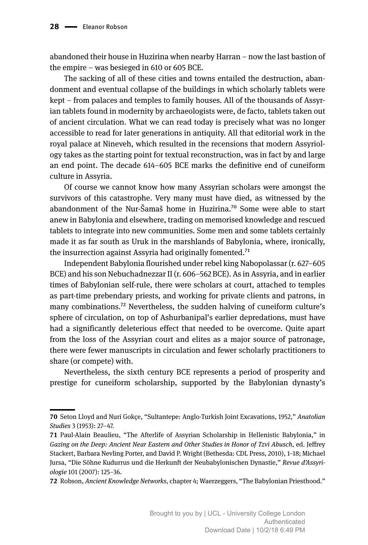abandoned their house in Huzirina when nearby Harran – now the last bastion of the empire – was besieged in 610 or 605 BCE.

The sacking of all of these cities and towns entailed the destruction, abandonment and eventual collapse of the buildings in which scholarly tablets were kept – from palaces and temples to family houses. All of the thousands of Assyrian tablets found in modernity by archaeologists were, de facto, tablets taken out of ancient circulation. What we can read today is precisely what was no longer accessible to read for later generations in antiquity. All that editorial work in the royal palace at Nineveh, which resulted in the recensions that modern Assyriology takes as the starting point for textual reconstruction, was in fact by and large an end point. The decade 614–605 BCE marks the definitive end of cuneiform culture in Assyria.

Of course we cannot know how many Assyrian scholars were amongst the survivors of this catastrophe. Very many must have died, as witnessed by the abandonment of the Nur-Šamaš home in Huzirina.<sup>70</sup> Some were able to start anew in Babylonia and elsewhere, trading on memorised knowledge and rescued tablets to integrate into new communities. Some men and some tablets certainly made it as far south as Uruk in the marshlands of Babylonia, where, ironically, the insurrection against Assyria had originally fomented.71

Independent Babylonia flourished under rebel king Nabopolassar (r. 627–605 BCE) and his son Nebuchadnezzar II (r. 606–562 BCE). As in Assyria, and in earlier times of Babylonian self-rule, there were scholars at court, attached to temples as part-time prebendary priests, and working for private clients and patrons, in many combinations.<sup>72</sup> Nevertheless, the sudden halving of cuneiform culture's sphere of circulation, on top of Ashurbanipal's earlier depredations, must have had a significantly deleterious effect that needed to be overcome. Quite apart from the loss of the Assyrian court and elites as a major source of patronage, there were fewer manuscripts in circulation and fewer scholarly practitioners to share (or compete) with.

Nevertheless, the sixth century BCE represents a period of prosperity and prestige for cuneiform scholarship, supported by the Babylonian dynasty's

**<sup>70</sup>** Seton Lloyd and Nuri Gokçe, "Sultantepe: Anglo-Turkish Joint Excavations, 1952," *Anatolian Studies* 3 (1953): 27–47.

**<sup>71</sup>** Paul-Alain Beaulieu, "The Afterlife of Assyrian Scholarship in Hellenistic Babylonia," in *Gazing on the Deep: Ancient Near Eastern and Other Studies in Honor of Tzvi Abusch*, ed. Jeffrey Stackert, Barbara Nevling Porter, and David P. Wright (Bethesda: CDL Press, 2010), 1–18; Michael Jursa, "Die Söhne Kudurrus und die Herkunft der Neubabylonischen Dynastie," *Revue d'Assyriologie* 101 (2007): 125–36.

**<sup>72</sup>** Robson, *Ancient Knowledge Networks*, chapter 4; Waerzeggers, "The Babylonian Priesthood."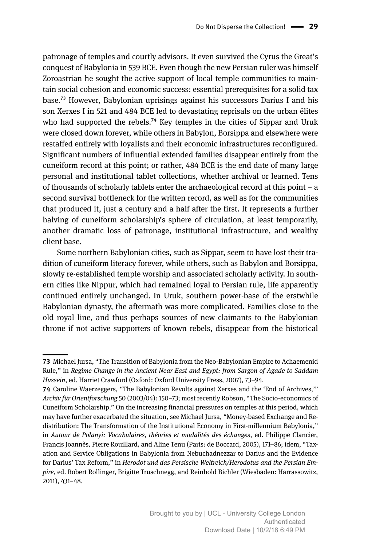patronage of temples and courtly advisors. It even survived the Cyrus the Great's conquest of Babylonia in 539 BCE. Even though the new Persian ruler was himself Zoroastrian he sought the active support of local temple communities to maintain social cohesion and economic success: essential prerequisites for a solid tax base.73 However, Babylonian uprisings against his successors Darius I and his son Xerxes I in 521 and 484 BCE led to devastating reprisals on the urban élites who had supported the rebels.<sup>74</sup> Key temples in the cities of Sippar and Uruk were closed down forever, while others in Babylon, Borsippa and elsewhere were restaffed entirely with loyalists and their economic infrastructures reconfigured. Significant numbers of influential extended families disappear entirely from the cuneiform record at this point; or rather, 484 BCE is the end date of many large personal and institutional tablet collections, whether archival or learned. Tens of thousands of scholarly tablets enter the archaeological record at this point – a second survival bottleneck for the written record, as well as for the communities that produced it, just a century and a half after the first. It represents a further halving of cuneiform scholarship's sphere of circulation, at least temporarily, another dramatic loss of patronage, institutional infrastructure, and wealthy client base.

Some northern Babylonian cities, such as Sippar, seem to have lost their tradition of cuneiform literacy forever, while others, such as Babylon and Borsippa, slowly re-established temple worship and associated scholarly activity. In southern cities like Nippur, which had remained loyal to Persian rule, life apparently continued entirely unchanged. In Uruk, southern power-base of the erstwhile Babylonian dynasty, the aftermath was more complicated. Families close to the old royal line, and thus perhaps sources of new claimants to the Babylonian throne if not active supporters of known rebels, disappear from the historical

**<sup>73</sup>** Michael Jursa, "The Transition of Babylonia from the Neo-Babylonian Empire to Achaemenid Rule," in *Regime Change in the Ancient Near East and Egypt: from Sargon of Agade to Saddam Hussein*, ed. Harriet Crawford (Oxford: Oxford University Press, 2007), 73–94.

**<sup>74</sup>** Caroline Waerzeggers, "The Babylonian Revolts against Xerxes and the 'End of Archives,'" *Archiv für Orientforschung* 50 (2003/04): 150–73; most recently Robson, "The Socio-economics of Cuneiform Scholarship." On the increasing financial pressures on temples at this period, which may have further exacerbated the situation, see Michael Jursa, "Money-based Exchange and Redistribution: The Transformation of the Institutional Economy in First-millennium Babylonia," in *Autour de Polanyi: Vocabulaires, théories et modalités des échanges*, ed. Philippe Clancier, Francis Joannès, Pierre Rouillard, and Aline Tenu (Paris: de Boccard, 2005), 171–86; idem, "Taxation and Service Obligations in Babylonia from Nebuchadnezzar to Darius and the Evidence for Darius' Tax Reform," in *Herodot und das Persische Weltreich/Herodotus and the Persian Empire*, ed. Robert Rollinger, Brigitte Truschnegg, and Reinhold Bichler (Wiesbaden: Harrassowitz, 2011), 431–48.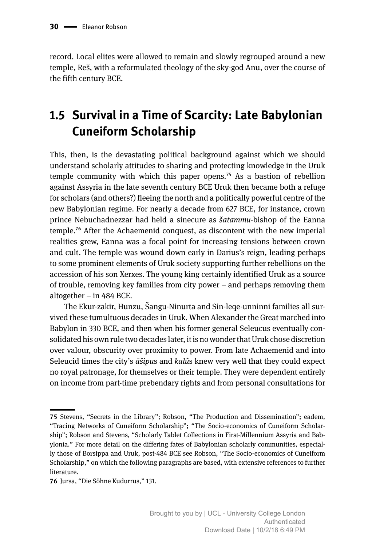record. Local elites were allowed to remain and slowly regrouped around a new temple, Reš, with a reformulated theology of the sky-god Anu, over the course of the fifth century BCE.

## **1.5 Survival in a Time of Scarcity: Late Babylonian Cuneiform Scholarship**

This, then, is the devastating political background against which we should understand scholarly attitudes to sharing and protecting knowledge in the Uruk temple community with which this paper opens.<sup>75</sup> As a bastion of rebellion against Assyria in the late seventh century BCE Uruk then became both a refuge for scholars (and others?) fleeing the north and a politically powerful centre of the new Babylonian regime. For nearly a decade from 627 BCE, for instance, crown prince Nebuchadnezzar had held a sinecure as *šatammu-*bishop of the Eanna temple.76 After the Achaemenid conquest, as discontent with the new imperial realities grew, Eanna was a focal point for increasing tensions between crown and cult. The temple was wound down early in Darius's reign, leading perhaps to some prominent elements of Uruk society supporting further rebellions on the accession of his son Xerxes. The young king certainly identified Uruk as a source of trouble, removing key families from city power – and perhaps removing them altogether – in 484 BCE.

The Ekur-zakir, Hunzu, Šangu-Ninurta and Sin-leqe-unninni families all survived these tumultuous decades in Uruk. When Alexander the Great marched into Babylon in 330 BCE, and then when his former general Seleucus eventually consolidated his own rule two decades later, it is no wonder that Uruk chose discretion over valour, obscurity over proximity to power. From late Achaemenid and into Seleucid times the city's *āšipu*s and *kalû*s knew very well that they could expect no royal patronage, for themselves or their temple. They were dependent entirely on income from part-time prebendary rights and from personal consultations for

**<sup>75</sup>** Stevens, "Secrets in the Library"; Robson, "The Production and Dissemination"; eadem, "Tracing Networks of Cuneiform Scholarship"; "The Socio-economics of Cuneiform Scholarship"; Robson and Stevens, "Scholarly Tablet Collections in First-Millennium Assyria and Babylonia." For more detail on the differing fates of Babylonian scholarly communities, especially those of Borsippa and Uruk, post-484 BCE see Robson, "The Socio-economics of Cuneiform Scholarship," on which the following paragraphs are based, with extensive references to further literature.

**<sup>76</sup>** Jursa, "Die Söhne Kudurrus," 131.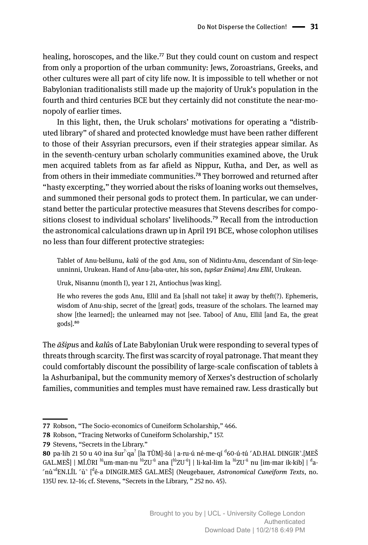healing, horoscopes, and the like.<sup>77</sup> But they could count on custom and respect from only a proportion of the urban community: Jews, Zoroastrians, Greeks, and other cultures were all part of city life now. It is impossible to tell whether or not Babylonian traditionalists still made up the majority of Uruk's population in the fourth and third centuries BCE but they certainly did not constitute the near-monopoly of earlier times.

In this light, then, the Uruk scholars' motivations for operating a "distributed library" of shared and protected knowledge must have been rather different to those of their Assyrian precursors, even if their strategies appear similar. As in the seventh-century urban scholarly communities examined above, the Uruk men acquired tablets from as far afield as Nippur, Kutha, and Der, as well as from others in their immediate communities.<sup>78</sup> They borrowed and returned after "hasty excerpting," they worried about the risks of loaning works out themselves, and summoned their personal gods to protect them. In particular, we can understand better the particular protective measures that Stevens describes for compositions closest to individual scholars' livelihoods.<sup>79</sup> Recall from the introduction the astronomical calculations drawn up in April 191 BCE, whose colophon utilises no less than four different protective strategies:

Tablet of Anu-belšunu, *kalû* of the god Anu, son of Nidintu-Anu, descendant of Sin-leqeunninni, Urukean. Hand of Anu-[aba-uter, his son, *ṭupšar Enūma*] *Anu Ellil*, Urukean.

Uruk, Nisannu (month I), year 1 21, Antiochus [was king].

He who reveres the gods Anu, Ellil and Ea [shall not take] it away by theft(?). Ephemeris, wisdom of Anu-ship, secret of the [great] gods, treasure of the scholars. The learned may show [the learned]; the unlearned may not [see. Taboo] of Anu, Ellil [and Ea, the great gods].80

The *āšipu*s and *kalû*s of Late Babylonian Uruk were responding to several types of threats through scarcity. The first was scarcity of royal patronage. That meant they could comfortably discount the possibility of large-scale confiscation of tablets à la Ashurbanipal, but the community memory of Xerxes's destruction of scholarly families, communities and temples must have remained raw. Less drastically but

**<sup>77</sup>** Robson, "The Socio-economics of Cuneiform Scholarship," 466.

**<sup>78</sup>** Robson, "Tracing Networks of Cuneiform Scholarship," 157.

**<sup>79</sup>** Stevens, "Secrets in the Library."

**<sup>80</sup>** pa-lih 21 50 u 40 ina šur $^2$ qa $^2$  [la TÙM]-šú | a-ru-ú né-me-qí  $^{\rm d}$ 60-ú-tú <code>"AD.HAL DINGIR</code> .[MEŠ GAL.MEŠ] | MÍ.ÙRI  $^{\rm li}$ um-man-nu  $^{\rm li}$ ZU $^{\rm ti}$  ana  $[^{\rm li}$ ZU $^{\rm tj}$  | li-kal-lim la  $^{\rm li}$ ZU $^{\rm ti}$  nu [im-mar ik-kib] |  $^{\rm d}$ a-˹nù˺d EN.LÍL ˹ù˺ [d é-a DINGIR.MEŠ GAL.MEŠ] (Neugebauer, *Astronomical Cuneiform Texts*, no. 135U rev. 12–16; cf. Stevens, "Secrets in the Library, " 252 no. 45).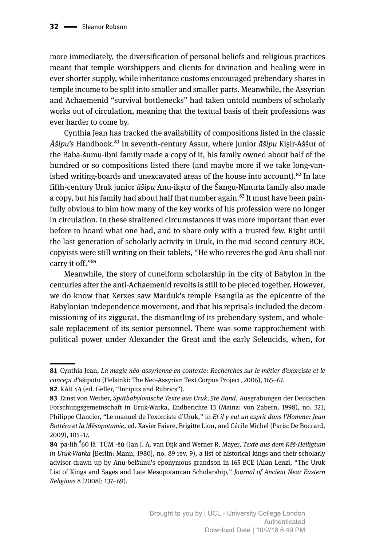more immediately, the diversification of personal beliefs and religious practices meant that temple worshippers and clients for divination and healing were in ever shorter supply, while inheritance customs encouraged prebendary shares in temple income to be split into smaller and smaller parts. Meanwhile, the Assyrian and Achaemenid "survival bottlenecks" had taken untold numbers of scholarly works out of circulation, meaning that the textual basis of their professions was ever harder to come by.

Cynthia Jean has tracked the availability of compositions listed in the classic *Āšipu's* Handbook.81 In seventh-century Assur, where junior *āšipu* Kiṣir-Aššur of the Baba-šumu-ibni family made a copy of it, his family owned about half of the hundred or so compositions listed there (and maybe more if we take long-vanished writing-boards and unexcavated areas of the house into account). $82$  In late fifth-century Uruk junior *āšipu* Anu-ikṣur of the Šangu-Ninurta family also made a copy, but his family had about half that number again.<sup>83</sup> It must have been painfully obvious to him how many of the key works of his profession were no longer in circulation. In these straitened circumstances it was more important than ever before to hoard what one had, and to share only with a trusted few. Right until the last generation of scholarly activity in Uruk, in the mid-second century BCE, copyists were still writing on their tablets, "He who reveres the god Anu shall not carry it off."84

Meanwhile, the story of cuneiform scholarship in the city of Babylon in the centuries after the anti-Achaemenid revolts is still to be pieced together. However, we do know that Xerxes saw Marduk's temple Esangila as the epicentre of the Babylonian independence movement, and that his reprisals included the decommissioning of its ziggurat, the dismantling of its prebendary system, and wholesale replacement of its senior personnel. There was some rapprochement with political power under Alexander the Great and the early Seleucids, when, for

**<sup>81</sup>** Cynthia Jean, *La magie néo-assyrienne en contexte: Recherches sur le métier d'exorciste et le concept d'*āšipūtu (Helsinki: The Neo-Assyrian Text Corpus Project, 2006), 165–67.

**<sup>82</sup>** KAR 44 (ed. Geller, "Incipits and Rubrics").

**<sup>83</sup>** Ernst von Weiher, *Spätbabylonische Texte aus Uruk, 5te Band*, Ausgrabungen der Deutschen Forschungsgemeinschaft in Uruk-Warka, Endberichte 13 (Mainz: von Zabern, 1998), no. 321; Philippe Clancier, "Le manuel de l'exorciste d'Uruk," in *Et il y eut un esprit dans l'Homme: Jean Bottéro et la Mésopotamie*, ed. Xavier Faivre, Brigitte Lion, and Cécile Michel (Paris: De Boccard, 2009), 105–17.

**<sup>84</sup>** pa-lih <sup>d</sup> 60 là ˹TÙM˺-šú (Jan J. A. van Dijk and Werner R. Mayer, *Texte aus dem Rēš-Heiligtum in Uruk-Warka* [Berlin: Mann, 1980], no. 89 rev. 9), a list of historical kings and their scholarly advisor drawn up by Anu-belšunu's eponymous grandson in 165 BCE (Alan Lenzi, "The Uruk List of Kings and Sages and Late Mesopotamian Scholarship," *Journal of Ancient Near Eastern Religions* 8 [2008]: 137–69).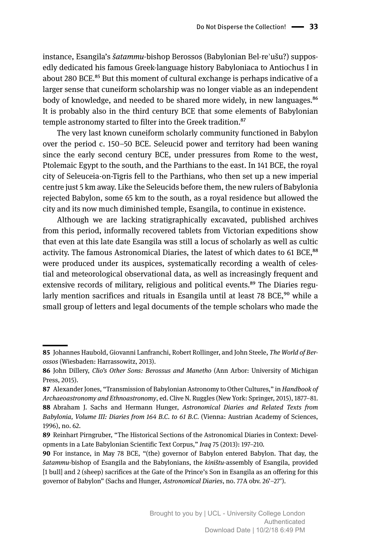instance, Esangila's *šatammu*-bishop Berossos (Babylonian Bel-reʾušu?) supposedly dedicated his famous Greek-language history Babyloniaca to Antiochus I in about 280 BCE.<sup>85</sup> But this moment of cultural exchange is perhaps indicative of a larger sense that cuneiform scholarship was no longer viable as an independent body of knowledge, and needed to be shared more widely, in new languages.<sup>86</sup> It is probably also in the third century BCE that some elements of Babylonian temple astronomy started to filter into the Greek tradition.<sup>87</sup>

The very last known cuneiform scholarly community functioned in Babylon over the period c. 150–50 BCE. Seleucid power and territory had been waning since the early second century BCE, under pressures from Rome to the west, Ptolemaic Egypt to the south, and the Parthians to the east. In 141 BCE, the royal city of Seleuceia-on-Tigris fell to the Parthians, who then set up a new imperial centre just 5 km away. Like the Seleucids before them, the new rulers of Babylonia rejected Babylon, some 65 km to the south, as a royal residence but allowed the city and its now much diminished temple, Esangila, to continue in existence.

Although we are lacking stratigraphically excavated, published archives from this period, informally recovered tablets from Victorian expeditions show that even at this late date Esangila was still a locus of scholarly as well as cultic activity. The famous Astronomical Diaries, the latest of which dates to 61 BCE,<sup>88</sup> were produced under its auspices, systematically recording a wealth of celestial and meteorological observational data, as well as increasingly frequent and extensive records of military, religious and political events.<sup>89</sup> The Diaries regularly mention sacrifices and rituals in Esangila until at least  $78$  BCE, $90$  while a small group of letters and legal documents of the temple scholars who made the

**<sup>85</sup>** Johannes Haubold, Giovanni Lanfranchi, Robert Rollinger, and John Steele, *The World of Berossos* (Wiesbaden: Harrassowitz, 2013).

**<sup>86</sup>** John Dillery, *Clio's Other Sons: Berossus and Manetho* (Ann Arbor: University of Michigan Press, 2015).

**<sup>87</sup>** Alexander Jones, "Transmission of Babylonian Astronomy to Other Cultures," in *Handbook of Archaeoastronomy and Ethnoastronomy*, ed. Clive N. Ruggles (New York: Springer, 2015), 1877–81. **88** Abraham J. Sachs and Hermann Hunger, *Astronomical Diaries and Related Texts from Babylonia, Volume III: Diaries from 164 B.C. to 61 B.C.* (Vienna: Austrian Academy of Sciences, 1996), no. 62.

**<sup>89</sup>** Reinhart Pirngruber, "The Historical Sections of the Astronomical Diaries in Context: Developments in a Late Babylonian Scientific Text Corpus," *Iraq* 75 (2013): 197–210.

**<sup>90</sup>** For instance, in May 78 BCE, "(the) governor of Babylon entered Babylon. That day, the *šatammu*-bishop of Esangila and the Babylonians, the *kiništu*-assembly of Esangila, provided [1 bull] and 2 (sheep) sacrifices at the Gate of the Prince's Son in Esangila as an offering for this governor of Babylon" (Sachs and Hunger, *Astronomical Diaries*, no. 77A obv. 26'–27').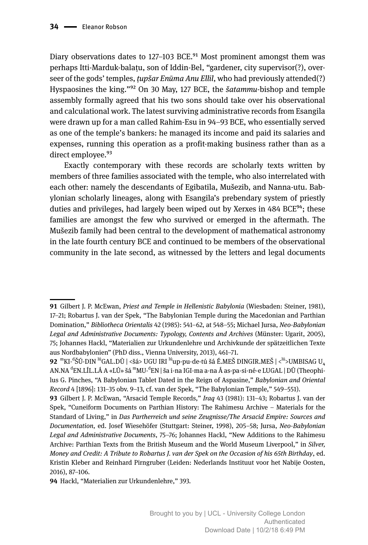Diary observations dates to 127–103 BCE.<sup>91</sup> Most prominent amongst them was perhaps Itti-Marduk-balaṭu, son of Iddin-Bel, "gardener, city supervisor(?), overseer of the gods' temples, *ṭupšar Enūma Anu Ellil*, who had previously attended(?) Hyspaosines the king."92 On 30 May, 127 BCE, the *šatammu-*bishop and temple assembly formally agreed that his two sons should take over his observational and calculational work. The latest surviving administrative records from Esangila were drawn up for a man called Rahim-Esu in 94–93 BCE, who essentially served as one of the temple's bankers: he managed its income and paid its salaries and expenses, running this operation as a profit-making business rather than as a direct employee.<sup>93</sup>

Exactly contemporary with these records are scholarly texts written by members of three families associated with the temple, who also interrelated with each other: namely the descendants of Egibatila, Mušezib, and Nanna-utu. Babylonian scholarly lineages, along with Esangila's prebendary system of priestly duties and privileges, had largely been wiped out by Xerxes in 484 BCE<sup>94</sup>; these families are amongst the few who survived or emerged in the aftermath. The Mušezib family had been central to the development of mathematical astronomy in the late fourth century BCE and continued to be members of the observational community in the late second, as witnessed by the letters and legal documents

**<sup>91</sup>** Gilbert J. P. McEwan, *Priest and Temple in Hellenistic Babylonia* (Wiesbaden: Steiner, 1981), 17–21; Robartus J. van der Spek, "The Babylonian Temple during the Macedonian and Parthian Domination," *Bibliotheca Orientalis* 42 (1985): 541–62, at 548–55; Michael Jursa, *Neo-Babylonian Legal and Administrative Documents: Typology, Contents and Archives* (Münster: Ugarit, 2005), 75; Johannes Hackl, "Materialien zur Urkundenlehre und Archivkunde der spätzeitlichen Texte aus Nordbabylonien" (PhD diss., Vienna University, 2013), 461–71.

**<sup>92</sup>** <sup>m</sup>KI-<sup>d</sup>ŠÚ-DIN <sup>lú</sup>GAL.DÙ | <šá> UGU IRI <sup>lú</sup>up-pu-de-tú šá É.MEŠ DINGIR.MEŠ | <<sup>lú</sup>>UMBISAG U<sub>4</sub> AN.NA <sup>d</sup>EN.LÍL.LÁ A «LÚ» šá <sup>m</sup>MU-<sup>d</sup>EN | ša i-na IGI-ma a-na Á as-pa-si-né-e LUGAL | DÙ (Theophilus G. Pinches, "A Babylonian Tablet Dated in the Reign of Aspasine," *Babylonian and Oriental Record* 4 [1896]: 131–35 obv. 9–13, cf. van der Spek, "The Babylonian Temple," 549–551).

**<sup>93</sup>** Gilbert J. P. McEwan, "Arsacid Temple Records," *Iraq* 43 (1981): 131–43; Robartus J. van der Spek, "Cuneiform Documents on Parthian History: The Rahimesu Archive – Materials for the Standard of Living," in *Das Partherreich und seine Zeugnisse/The Arsacid Empire: Sources and Documentation*, ed. Josef Wiesehöfer (Stuttgart: Steiner, 1998), 205–58; Jursa, *Neo-Babylonian Legal and Administrative Documents*, 75–76; Johannes Hackl, "New Additions to the Rahimesu Archive: Parthian Texts from the British Museum and the World Museum Liverpool," in *Silver, Money and Credit: A Tribute to Robartus J. van der Spek on the Occasion of his 65th Birthday*, ed. Kristin Kleber and Reinhard Pirngruber (Leiden: Nederlands Instituut voor het Nabije Oosten, 2016), 87–106.

**<sup>94</sup>** Hackl, "Materialien zur Urkundenlehre," 393.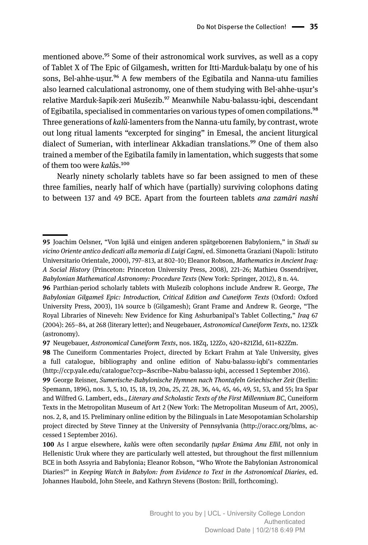mentioned above.<sup>95</sup> Some of their astronomical work survives, as well as a copy of Tablet X of The Epic of Gilgamesh, written for Itti-Marduk-balaṭu by one of his sons, Bel-ahhe-usur.<sup>96</sup> A few members of the Egibatila and Nanna-utu families also learned calculational astronomy, one of them studying with Bel-ahhe-usur's relative Marduk-šapik-zeri Mušezib.97 Meanwhile Nabu-balassu-iqbi, descendant of Egibatila, specialised in commentaries on various types of omen compilations.<sup>98</sup> Three generations of *kalû*-lamenters from the Nanna-utu family, by contrast, wrote out long ritual laments "excerpted for singing" in Emesal, the ancient liturgical dialect of Sumerian, with interlinear Akkadian translations.99 One of them also trained a member of the Egibatila family in lamentation, which suggests that some of them too were *kalû*s.100

Nearly ninety scholarly tablets have so far been assigned to men of these three families, nearly half of which have (partially) surviving colophons dating to between 137 and 49 BCE. Apart from the fourteen tablets *ana zamāri nashi*

**<sup>95</sup>** Joachim Oelsner, "Von Iqīšâ und einigen anderen spätgeborenen Babyloniern," in *Studi su vicino Oriente antico dedicati alla memoria di Luigi Cagni*, ed. Simonetta Graziani (Napoli: Istituto Universitario Orientale, 2000), 797–813, at 802–10; Eleanor Robson, *Mathematics in Ancient Iraq: A Social History* (Princeton: Princeton University Press, 2008), 221–26; Mathieu Ossendrijver, *Babylonian Mathematical Astronomy: Procedure Texts* (New York: Springer, 2012), 8 n. 44.

**<sup>96</sup>** Parthian-period scholarly tablets with Mušezib colophons include Andrew R. George, *The Babylonian Gilgameš Epic: Introduction, Critical Edition and Cuneiform Texts* (Oxford: Oxford University Press, 2003), 114 source b (Gilgamesh); Grant Frame and Andrew R. George, "The Royal Libraries of Nineveh: New Evidence for King Ashurbanipal's Tablet Collecting," *Iraq* 67 (2004): 265–84, at 268 (literary letter); and Neugebauer, *Astronomical Cuneiform Texts*, no. 123Zk (astronomy).

**<sup>97</sup>** Neugebauer, *Astronomical Cuneiform Texts*, nos. 18Zq, 122Zo, 420+821Zld, 611+822Zm.

**<sup>98</sup>** The Cuneiform Commentaries Project, directed by Eckart Frahm at Yale University, gives a full catalogue, bibliography and online edition of Nabu-balassu-iqbi's commentaries (http://ccp.yale.edu/catalogue?ccp=&scribe=Nabu-balassu-iqbi, accessed 1 September 2016).

**<sup>99</sup>** George Reisner, *Sumerische-Babylonische Hymnen nach Thontafeln Griechischer Zeit* (Berlin: Spemann, 1896), nos. 3, 5, 10, 15, 18, 19, 20a, 25, 27, 28, 36, 44, 45, 46, 49, 51, 53, and 55; Ira Spar and Wilfred G. Lambert, eds., *Literary and Scholastic Texts of the First Millennium BC*, Cuneiform Texts in the Metropolitan Museum of Art 2 (New York: The Metropolitan Museum of Art, 2005), nos. 2, 8, and 15. Preliminary online edition by the Bilinguals in Late Mesopotamian Scholarship project directed by Steve Tinney at the University of Pennsylvania (http://oracc.org/blms, accessed 1 September 2016).

**<sup>100</sup>** As I argue elsewhere, *kalû*s were often secondarily *ṭupšar Enūma Anu Ellil*, not only in Hellenistic Uruk where they are particularly well attested, but throughout the first millennium BCE in both Assyria and Babylonia; Eleanor Robson, "Who Wrote the Babylonian Astronomical Diaries?" in *Keeping Watch in Babylon: from Evidence to Text in the Astronomical Diaries*, ed. Johannes Haubold, John Steele, and Kathryn Stevens (Boston: Brill, forthcoming).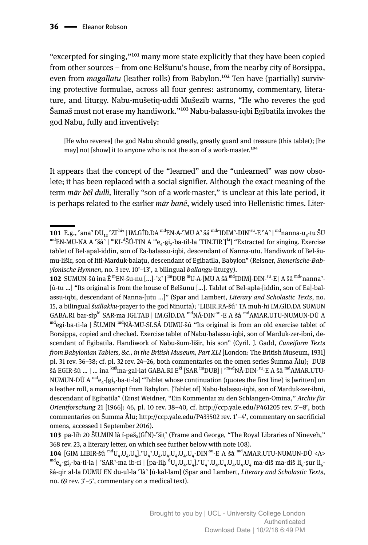"excerpted for singing,"101 many more state explicitly that they have been copied from other sources – from one Belšunu's house, from the nearby city of Borsippa, even from *magallatu* (leather rolls) from Babylon.<sup>102</sup> Ten have (partially) surviving protective formulae, across all four genres: astronomy, commentary, literature, and liturgy. Nabu-mušetiq-uddi Mušezib warns, "He who reveres the god Šamaš must not erase my handiwork."103 Nabu-balassu-iqbi Egibatila invokes the god Nabu, fully and inventively:

[He who reveres] the god Nabu should greatly, greatly guard and treasure (this tablet); [he may] not [show] it to anyone who is not the son of a work-master.<sup>104</sup>

It appears that the concept of the "learned" and the "unlearned" was now obsolete; it has been replaced with a social signifier. Although the exact meaning of the term *mār bēl dulli,* literally "son of a work-master," is unclear at this late period, it is perhaps related to the earlier *mār banê*, widely used into Hellenistic times. Liter-

**<sup>101</sup>** E.g., 「anaʾ DU<sub>12</sub> 'ZI<sup>-hi</sup>ʾ | IM.GÍD.DA <sup>md</sup>EN-A-ʿMU Aʾ šá <sup>md</sup>'IDIMʾ-DIN<sup>-su</sup>-E 'Aʾ | <sup>md</sup>nanna-u<sub>3</sub>-tu ŠU<br><sup>md</sup>EN-MU-NA A 「šáʾ | <sup>m</sup>KI-<sup>d</sup>ŠÚ-TIN A <sup>m</sup>e<sub>a</sub>-gi<sub>7</sub>-ba-tìl-la ʿTIN.TIRʾ[<sup>ki</sup>] "Extracted for singing. Exe tablet of Bel-apal-iddin, son of Ea-balassu-iqbi, descendant of Nanna-utu. Handiwork of Bel-šumu-lišir, son of Itti-Marduk-balaṭu, descendant of Egibatila, Babylon" (Reisner, *Sumerische-Babylonische Hymnen*, no. 3 rev. 10'–13', a bilingual *ballangu-*liturgy).

<sup>102</sup> SUMUN-šú ina É<sup>m</sup>EN-šu-nu [...]-<sup>[</sup>x<sup>1</sup>]<sup>im</sup>DUB <sup>m</sup>U-A-[MU A šá <sup>md</sup>IDIM]-DIN-<sup>su</sup>-E | A šá <sup>md</sup>ranna<sup>1</sup>-[ù-tu …] "Its original is from the house of Belšunu […]. Tablet of Bel-apla-[iddin, son of Ea]-balassu-iqbi, descendant of Nanna-[utu ...]" (Spar and Lambert, *Literary and Scholastic Texts*, no. 15, a bilingual *šuillakku-*prayer to the god Ninurta); ˹LIBIR.RA-šú˺ TA muh-hi IM.GÍD.DA SUMUN GABA.RI bar-sìp<sup>ki</sup> SAR-ma IGI.TAB | IM.GÍD.DA <sup>md</sup>NÀ-DIN<sup>-su</sup>-E A šá <sup>md</sup>AMAR.UTU-NUMUN-DÙ A mdegi-ba-ti-la | ŠU.MIN <sup>md</sup>NÀ-MU-SI.SÁ DUMU-šú "Its original is from an old exercise tablet of Borsippa, copied and checked. Exercise tablet of Nabu-balassu-iqbi, son of Marduk-zer-ibni, descendant of Egibatila. Handiwork of Nabu-šum-lišir, his son" (Cyril. J. Gadd, *Cuneiform Texts from Babylonian Tablets, &c., in the British Museum, Part XLI* [London: The British Museum, 1931] pl. 31 rev. 36–38; cf. pl. 32 rev. 24–26, both commentaries on the omen series Šumma Ālu); DUB šá EGIR-šú … | … ina <sup>kuš</sup>ma-gal-lat GABA.RI E<sup>ki</sup> [SAR <sup>im</sup>DUB] | <sup>rm¬d</sup>NÀ-DIN-<sup>su</sup>-E A šá <sup>md</sup>AMAR.UTU-NUMUN-DÙ A  $^{md}$ e<sub>c-</sub>[gi<sub>7</sub>-ba-ti-la] "Tablet whose continuation (quotes the first line) is [written] on a leather roll, a manuscript from Babylon. [Tablet of] Nabu-balassu-iqbi, son of Marduk-zer-ibni, descendant of Egibatila" (Ernst Weidner, "Ein Kommentar zu den Schlangen-Omina," *Archiv für Orientforschung* 21 [1966]: 46, pl. 10 rev. 38–40, cf. http://ccp.yale.edu/P461205 rev. 5'–8', both commentaries on Šumma Ālu; http://ccp.yale.edu/P433502 rev. 1'–4', commentary on sacrificial omens, accessed 1 September 2016).

**<sup>103</sup>** pa-lih 20 ŠU.MIN là í-paš<sub>x</sub>(GÍN)-<sup>r</sup>šit<sup>\*</sup> (Frame and George, "The Royal Libraries of Nineveh," 368 rev. 23, a literary letter, on which see further below with note 108).<br>**104** [GIM LIBIR-šú <sup>md</sup>U<sub>4</sub>.U<sub>4</sub>.U<sub>4</sub>.J.<sub>4</sub>.J.<sub>4</sub>.J.<sub>4</sub>.U<sub>4</sub>.U<sub>4</sub>.U<sub>4</sub>.U<sub>4</sub>.U<sub>4</sub>.J<sub>4</sub>.DIN<sup>-su</sup>-E A šá <sup>md</sup>AMAR.UTU-NUMUN-DÙ <A>

**<sup>104</sup>** [GIM LIBIR-šú <sup>md</sup>U<sub>4</sub>,U<sub>4</sub>,U<sub>4</sub>]. "U<sub>4</sub>,U<sub>4</sub>,U<sub>4</sub>,U<sub>4</sub>,U<sub>4</sub>,U<sub>4</sub>,DIN<sup>-su</sup>-E A šá <sup>md</sup>AMAR.UTU-NUMUN-DÙ <A> mdediš ha-gin li<sub>s</sub>šá-qir al-la DUMU EN du-ul-la ˹là˺ [ú-kal-lam] (Spar and Lambert, *Literary and Scholastic Texts*, no. 69 rev. 3'–5', commentary on a medical text).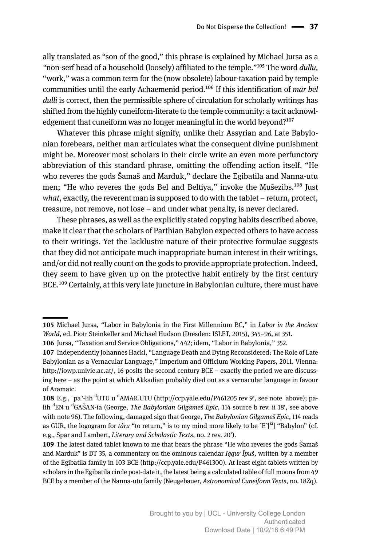ally translated as "son of the good," this phrase is explained by Michael Jursa as a *"*non-serf head of a household (loosely) affiliated to the temple."105 The word *dullu,* "work," was a common term for the (now obsolete) labour-taxation paid by temple communities until the early Achaemenid period.106 If this identification of *mār bēl dulli* is correct, then the permissible sphere of circulation for scholarly writings has shifted from the highly cuneiform-literate to the temple community: a tacit acknowledgement that cuneiform was no longer meaningful in the world beyond?<sup>107</sup>

Whatever this phrase might signify, unlike their Assyrian and Late Babylonian forebears, neither man articulates what the consequent divine punishment might be. Moreover most scholars in their circle write an even more perfunctory abbreviation of this standard phrase, omitting the offending action itself. "He who reveres the gods Šamaš and Marduk," declare the Egibatila and Nanna-utu men; "He who reveres the gods Bel and Beltiya," invoke the Mušezibs.<sup>108</sup> Just *what*, exactly, the reverent man is supposed to do with the tablet – return, protect, treasure, not remove, not lose – and under what penalty, is never declared.

These phrases, as well as the explicitly stated copying habits described above, make it clear that the scholars of Parthian Babylon expected others to have access to their writings. Yet the lacklustre nature of their protective formulae suggests that they did not anticipate much inappropriate human interest in their writings, and/or did not really count on the gods to provide appropriate protection. Indeed, they seem to have given up on the protective habit entirely by the first century BCE.<sup>109</sup> Certainly, at this very late juncture in Babylonian culture, there must have

**<sup>105</sup>** Michael Jursa, "Labor in Babylonia in the First Millennium BC," in *Labor in the Ancient World*, ed. Piotr Steinkeller and Michael Hudson (Dresden: ISLET, 2015), 345–96, at 351.

**<sup>106</sup>** Jursa, "Taxation and Service Obligations," 442; idem, "Labor in Babylonia," 352.

**<sup>107</sup>** Independently Johannes Hackl, "Language Death and Dying Reconsidered: The Role of Late Babylonian as a Vernacular Language," Imperium and Officium Working Papers, 2011. Vienna: http://iowp.univie.ac.at/, 16 posits the second century BCE – exactly the period we are discussing here – as the point at which Akkadian probably died out as a vernacular language in favour of Aramaic.

<sup>108</sup> E.g., 'pa'-lih <sup>d</sup>UTU u <sup>d</sup>AMAR.UTU (http://ccp.yale.edu/P461205 rev 9', see note above); palih <sup>d</sup>EN u <sup>d</sup>GAŠAN-ia (George, *The Babylonian Gilgameš Epic*, 114 source b rev. ii 18', see above with note 96). The following, damaged sign that George, *The Babylonian Gilgameš Epic*, 114 reads as GUR, the logogram for *târu* "to return," is to my mind more likely to be 'E'[ki] "Babylon" (cf. e.g., Spar and Lambert, *Literary and Scholastic Texts*, no. 2 rev. 20').

**<sup>109</sup>** The latest dated tablet known to me that bears the phrase "He who reveres the gods Šamaš and Marduk" is DT 35, a commentary on the ominous calendar *Iqqur Īpuš*, written by a member of the Egibatila family in 103 BCE (http://ccp.yale.edu/P461300). At least eight tablets written by scholars in the Egibatila circle post-date it, the latest being a calculated table of full moons from 49 BCE by a member of the Nanna-utu family (Neugebauer, *Astronomical Cuneiform Texts*, no. 18Zq).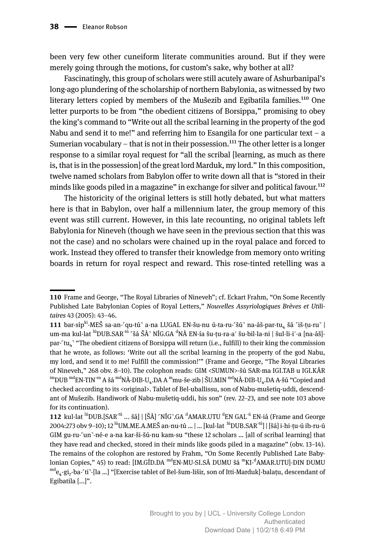been very few other cuneiform literate communities around. But if they were merely going through the motions, for custom's sake, why bother at all?

Fascinatingly, this group of scholars were still acutely aware of Ashurbanipal's long-ago plundering of the scholarship of northern Babylonia, as witnessed by two literary letters copied by members of the Mušezib and Egibatila families.<sup>110</sup> One letter purports to be from "the obedient citizens of Borsippa," promising to obey the king's command to "Write out all the scribal learning in the property of the god Nabu and send it to me!" and referring him to Esangila for one particular text – a Sumerian vocabulary – that is not in their possession.<sup>111</sup> The other letter is a longer response to a similar royal request for "all the scribal [learning, as much as there is, that is in the possession] of the great lord Marduk, my lord." In this composition, twelve named scholars from Babylon offer to write down all that is "stored in their minds like goods piled in a magazine" in exchange for silver and political favour.<sup>112</sup>

The historicity of the original letters is still hotly debated, but what matters here is that in Babylon, over half a millennium later, the group memory of this event was still current. However, in this late recounting, no original tablets left Babylonia for Nineveh (though we have seen in the previous section that this was not the case) and no scholars were chained up in the royal palace and forced to work. Instead they offered to transfer their knowledge from memory onto writing boards in return for royal respect and reward. This rose-tinted retelling was a

**<sup>110</sup>** Frame and George, "The Royal Libraries of Nineveh"; cf. Eckart Frahm, "On Some Recently Published Late Babylonian Copies of Royal Letters," *Nouvelles Assyriologiques Brèves et Utilitaires* 43 (2005): 43–46.

**<sup>111</sup>** bar-sìpki-MEŠ sa-an-˹qu-tú˺ a-na LUGAL EN-šu-nu ú-ta-ru-˹šú˺ na-áš-par-tu₄ šá ˹iš-ṭu-ru˺ | um-ma kul-lat <sup>lú</sup>DUB.SAR<sup>-tú</sup> 「šá ŠÀ' NÍG.GA <sup>d</sup>NÀ EN-ía šu-ṭu-ra-aʾ šu-bil-la-ni | šul-li-iʾ-a [na-áš]par- $^{\text{t}}$ tu<sub>a</sub> $^{\text{u}}$  "The obedient citizens of Borsippa will return (i.e., fulfill) to their king the commission that he wrote, as follows: 'Write out all the scribal learning in the property of the god Nabu, my lord, and send it to me! Fulfill the commission!'" (Frame and George, "The Royal Libraries of Nineveh," 268 obv. 8–10). The colophon reads: GIM <SUMUN>-šú SAR-ma IGI.TAB u IGI.KÁR  $\mu^{\rm{im}}$ DUB  $^{\rm{md}}$ EN-TIN<sup>-su</sup> A šá  $^{\rm{md}}$ NÀ-DIB-U<sub>4</sub>.DA A  $^{\rm{m}}$ mu-še-zib | ŠU.MIN  $^{\rm{md}}$ NÀ-DIB-U<sub>4</sub>.DA A-šú "Copied and checked according to its <original>. Tablet of Bel-uballissu, son of Nabu-mušetiq-uddi, descendant of Mušezib. Handiwork of Nabu-mušetiq-uddi, his son" (rev. 22–23, and see note 103 above for its continuation).

<sup>112</sup> kul-lat <sup>lú</sup>DUB.[SAR<sup>-tú</sup> ... šá] | [ŠÀ] 'NÍG'.GA <sup>d</sup>AMAR.UTU <sup>d</sup>EN GAL<sup>-ú</sup> EN-iá (Frame and George 2004:273 obv 9-10); 12 <sup>lú</sup>UM.ME.A.MEŠ an-nu-tú ... | ... [kul-lat <sup>lú</sup>DUB.SAR<sup>-tú</sup>] | [šá] i-hi-ṭu-ú ib-ru-ú GIM gu-ru-「un'-né-e a-na kar-ši-šú-nu kam-su "these 12 scholars ... [all of scribal learning] that they have read and checked, stored in their minds like goods piled in a magazine" (obv. 13–14). The remains of the colophon are restored by Frahm, "On Some Recently Published Late Babylonian Copies," 45) to read: [IM.GÍD.DA  $\mathrm{^{md}EN\text{-}MU\text{-}S}$ I.SÁ DUMU šá  $\mathrm{^{m}KI\text{-}^{d}AMAR.UTU\text{-}DIN$  DUMU  $^{md}$ e<sub>4</sub>-gi<sub>7</sub>-ba-<sup> $r$ </sup>ti<sup> $-$ </sup>[la …] "[Exercise tablet of Bel-šum-lišir, son of Itti-Marduk]-balaṭu, descendant of Egibatila [...]".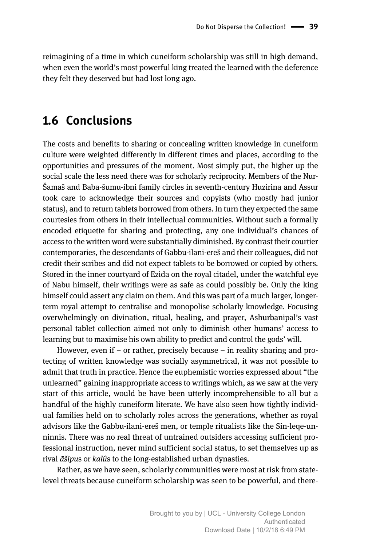reimagining of a time in which cuneiform scholarship was still in high demand, when even the world's most powerful king treated the learned with the deference they felt they deserved but had lost long ago.

#### **1.6 Conclusions**

The costs and benefits to sharing or concealing written knowledge in cuneiform culture were weighted differently in different times and places, according to the opportunities and pressures of the moment. Most simply put, the higher up the social scale the less need there was for scholarly reciprocity. Members of the Nur-Šamaš and Baba-šumu-ibni family circles in seventh-century Huzirina and Assur took care to acknowledge their sources and copyists (who mostly had junior status), and to return tablets borrowed from others. In turn they expected the same courtesies from others in their intellectual communities. Without such a formally encoded etiquette for sharing and protecting, any one individual's chances of access to the written word were substantially diminished. By contrast their courtier contemporaries, the descendants of Gabbu-ilani-ereš and their colleagues, did not credit their scribes and did not expect tablets to be borrowed or copied by others. Stored in the inner courtyard of Ezida on the royal citadel, under the watchful eye of Nabu himself, their writings were as safe as could possibly be. Only the king himself could assert any claim on them. And this was part of a much larger, longerterm royal attempt to centralise and monopolise scholarly knowledge. Focusing overwhelmingly on divination, ritual, healing, and prayer, Ashurbanipal's vast personal tablet collection aimed not only to diminish other humans' access to learning but to maximise his own ability to predict and control the gods' will.

However, even if – or rather, precisely because – in reality sharing and protecting of written knowledge was socially asymmetrical, it was not possible to admit that truth in practice. Hence the euphemistic worries expressed about "the unlearned" gaining inappropriate access to writings which, as we saw at the very start of this article, would be have been utterly incomprehensible to all but a handful of the highly cuneiform literate. We have also seen how tightly individual families held on to scholarly roles across the generations, whether as royal advisors like the Gabbu-ilani-ereš men, or temple ritualists like the Sin-leqe-unninnis. There was no real threat of untrained outsiders accessing sufficient professional instruction, never mind sufficient social status, to set themselves up as rival *āšipu*s or *kalû*s to the long-established urban dynasties*.*

Rather, as we have seen, scholarly communities were most at risk from statelevel threats because cuneiform scholarship was seen to be powerful, and there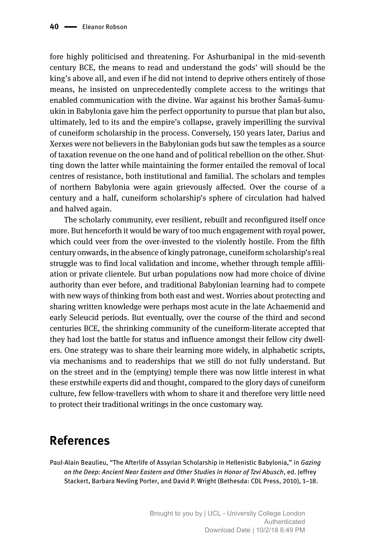fore highly politicised and threatening. For Ashurbanipal in the mid- seventh century BCE, the means to read and understand the gods' will should be the king's above all, and even if he did not intend to deprive others entirely of those means, he insisted on unprecedentedly complete access to the writings that enabled communication with the divine. War against his brother Šamaš- šumuukin in Babylonia gave him the perfect opportunity to pursue that plan but also, ultimately, led to its and the empire's collapse, gravely imperilling the survival of cuneiform scholarship in the process. Conversely, 150 years later, Darius and Xerxes were not believers in the Babylonian gods but saw the temples as a source of taxation revenue on the one hand and of political rebellion on the other. Shutting down the latter while maintaining the former entailed the removal of local centres of resistance, both institutional and familial. The scholars and temples of northern Babylonia were again grievously affected. Over the course of a century and a half, cuneiform scholarship's sphere of circulation had halved and halved again.

The scholarly community, ever resilient, rebuilt and reconfigured itself once more. But henceforth it would be wary of too much engagement with royal power, which could veer from the over-invested to the violently hostile. From the fifth century onwards, in the absence of kingly patronage, cuneiform scholarship's real struggle was to find local validation and income, whether through temple affiliation or private clientele. But urban populations now had more choice of divine authority than ever before, and traditional Babylonian learning had to compete with new ways of thinking from both east and west. Worries about protecting and sharing written knowledge were perhaps most acute in the late Achaemenid and early Seleucid periods. But eventually, over the course of the third and second centuries BCE, the shrinking community of the cuneiform-literate accepted that they had lost the battle for status and influence amongst their fellow city dwellers. One strategy was to share their learning more widely, in alphabetic scripts, via mechanisms and to readerships that we still do not fully understand. But on the street and in the (emptying) temple there was now little interest in what these erstwhile experts did and thought, compared to the glory days of cuneiform culture, few fellow-travellers with whom to share it and therefore very little need to protect their traditional writings in the once customary way.

#### **References**

Paul-Alain Beaulieu, "The Afterlife of Assyrian Scholarship in Hellenistic Babylonia," in *Gazing on the Deep: Ancient Near Eastern and Other Studies in Honor of Tzvi Abusch*, ed. Jeffrey Stackert, Barbara Nevling Porter, and David P. Wright (Bethesda: CDL Press, 2010), 1–18.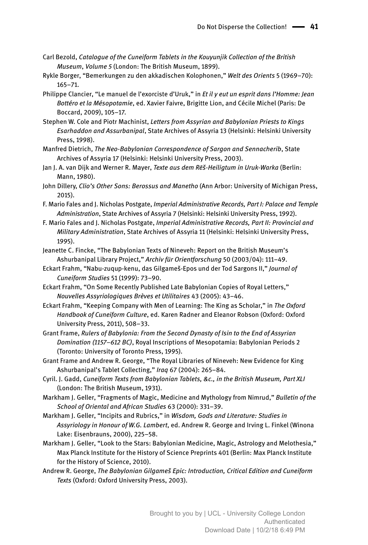- Carl Bezold, *Catalogue of the Cuneiform Tablets in the Kouyunjik Collection of the British Museum*, *Volume 5* (London: The British Museum, 1899).
- Rykle Borger, "Bemerkungen zu den akkadischen Kolophonen," *Welt des Orients* 5 (1969–70): 165–71.
- Philippe Clancier, "Le manuel de l'exorciste d'Uruk," in *Et il y eut un esprit dans l'Homme: Jean Bottéro et la Mésopotamie*, ed. Xavier Faivre, Brigitte Lion, and Cécile Michel (Paris: De Boccard, 2009), 105–17.
- Stephen W. Cole and Piotr Machinist, *Letters from Assyrian and Babylonian Priests to Kings Esarhaddon and Assurbanipal*, State Archives of Assyria 13 (Helsinki: Helsinki University Press, 1998).
- Manfred Dietrich, *The Neo-Babylonian Correspondence of Sargon and Sennacherib*, State Archives of Assyria 17 (Helsinki: Helsinki University Press, 2003).
- Jan J. A. van Dijk and Werner R. Mayer, *Texte aus dem Rēš-Heiligtum in Uruk-Warka* (Berlin: Mann, 1980).
- John Dillery, *Clio's Other Sons: Berossus and Manetho* (Ann Arbor: University of Michigan Press, 2015).
- F. Mario Fales and J. Nicholas Postgate, *Imperial Administrative Records, Part I: Palace and Temple Administration*, State Archives of Assyria 7 (Helsinki: Helsinki University Press, 1992).
- F. Mario Fales and J. Nicholas Postgate, *Imperial Administrative Records, Part II: Provincial and Military Administration*, State Archives of Assyria 11 (Helsinki: Helsinki University Press, 1995).
- Jeanette C. Fincke, "The Babylonian Texts of Nineveh: Report on the British Museum's Ashurbanipal Library Project," *Archiv für Orientforschung* 50 (2003/04): 111–49.
- Eckart Frahm, "Nabu-zuqup-kenu, das Gilgameš-Epos und der Tod Sargons II," *Journal of Cuneiform Studies* 51 (1999): 73–90.
- Eckart Frahm, "On Some Recently Published Late Babylonian Copies of Royal Letters," *Nouvelles Assyriologiques Brèves et Utilitaires* 43 (2005): 43–46.
- Eckart Frahm, "Keeping Company with Men of Learning: The King as Scholar," in *The Oxford Handbook of Cuneiform Culture*, ed. Karen Radner and Eleanor Robson (Oxford: Oxford University Press, 2011), 508–33.
- Grant Frame, *Rulers of Babylonia: From the Second Dynasty of Isin to the End of Assyrian Domination (1157–612 BC)*, Royal Inscriptions of Mesopotamia: Babylonian Periods 2 (Toronto: University of Toronto Press, 1995).
- Grant Frame and Andrew R. George, "The Royal Libraries of Nineveh: New Evidence for King Ashurbanipal's Tablet Collecting," *Iraq* 67 (2004): 265–84.
- Cyril. J. Gadd, *Cuneiform Texts from Babylonian Tablets, &c., in the British Museum, Part XLI* (London: The British Museum, 1931).
- Markham J. Geller, "Fragments of Magic, Medicine and Mythology from Nimrud," *Bulletin of the School of Oriental and African Studies* 63 (2000): 331–39.
- Markham J. Geller, "Incipits and Rubrics," in *Wisdom, Gods and Literature: Studies in Assyriology in Honour of W.G. Lambert*, ed. Andrew R. George and Irving L. Finkel (Winona Lake: Eisenbrauns, 2000), 225–58.
- Markham J. Geller, "Look to the Stars: Babylonian Medicine, Magic, Astrology and Melothesia," Max Planck Institute for the History of Science Preprints 401 (Berlin: Max Planck Institute for the History of Science, 2010).
- Andrew R. George, *The Babylonian Gilgameš Epic: Introduction, Critical Edition and Cuneiform Texts* (Oxford: Oxford University Press, 2003).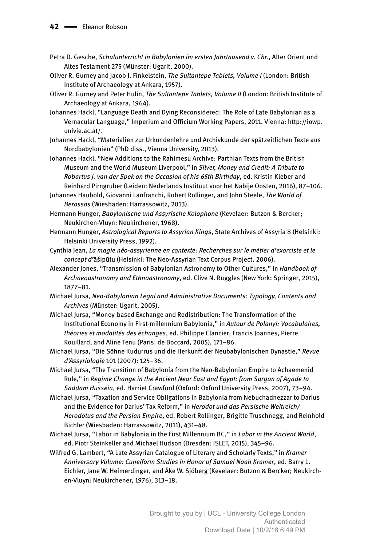- Petra D. Gesche, *Schulunterricht in Babylonien im ersten Jahrtausend v. Chr.*, Alter Orient und Altes Testament 275 (Münster: Ugarit, 2000).
- Oliver R. Gurney and Jacob J. Finkelstein, *The Sultantepe Tablets, Volume I* (London: British Institute of Archaeology at Ankara, 1957).
- Oliver R. Gurney and Peter Hulin, *The Sultantepe Tablets, Volume II* (London: British Institute of Archaeology at Ankara, 1964).
- Johannes Hackl, "Language Death and Dying Reconsidered: The Role of Late Babylonian as a Vernacular Language," Imperium and Officium Working Papers, 2011. Vienna: http://iowp. univie.ac.at/.
- Johannes Hackl, "Materialien zur Urkundenlehre und Archivkunde der spätzeitlichen Texte aus Nordbabylonien" (PhD diss., Vienna University, 2013).
- Johannes Hackl, "New Additions to the Rahimesu Archive: Parthian Texts from the British Museum and the World Museum Liverpool," in *Silver, Money and Credit: A Tribute to Robartus J. van der Spek on the Occasion of his 65th Birthday*, ed. Kristin Kleber and Reinhard Pirngruber (Leiden: Nederlands Instituut voor het Nabije Oosten, 2016), 87–106.
- Johannes Haubold, Giovanni Lanfranchi, Robert Rollinger, and John Steele, *The World of Berossos* (Wiesbaden: Harrassowitz, 2013).
- Hermann Hunger, *Babylonische und Assyrische Kolophone* (Kevelaer: Butzon & Bercker; Neukirchen-Vluyn: Neukirchener, 1968).
- Hermann Hunger, *Astrological Reports to Assyrian Kings*, State Archives of Assyria 8 (Helsinki: Helsinki University Press, 1992).
- Cynthia Jean, *La magie néo-assyrienne en contexte: Recherches sur le métier d'exorciste et le concept d'*āšipūtu (Helsinki: The Neo-Assyrian Text Corpus Project, 2006).
- Alexander Jones, "Transmission of Babylonian Astronomy to Other Cultures," in *Handbook of Archaeoastronomy and Ethnoastronomy*, ed. Clive N. Ruggles (New York: Springer, 2015), 1877–81.
- Michael Jursa, *Neo-Babylonian Legal and Administrative Documents: Typology, Contents and Archives* (Münster: Ugarit, 2005).
- Michael Jursa, "Money-based Exchange and Redistribution: The Transformation of the Institutional Economy in First-millennium Babylonia," in *Autour de Polanyi: Vocabulaires, théories et modalités des échanges*, ed. Philippe Clancier, Francis Joannès, Pierre Rouillard, and Aline Tenu (Paris: de Boccard, 2005), 171–86.
- Michael Jursa, "Die Söhne Kudurrus und die Herkunft der Neubabylonischen Dynastie," *Revue d'Assyriologie* 101 (2007): 125–36.
- Michael Jursa, "The Transition of Babylonia from the Neo-Babylonian Empire to Achaemenid Rule," in *Regime Change in the Ancient Near East and Egypt: from Sargon of Agade to Saddam Hussein*, ed. Harriet Crawford (Oxford: Oxford University Press, 2007), 73–94.
- Michael Jursa, "Taxation and Service Obligations in Babylonia from Nebuchadnezzar to Darius and the Evidence for Darius' Tax Reform," in *Herodot und das Persische Weltreich/ Herodotus and the Persian Empire*, ed. Robert Rollinger, Brigitte Truschnegg, and Reinhold Bichler (Wiesbaden: Harrassowitz, 2011), 431–48.
- Michael Jursa, "Labor in Babylonia in the First Millennium BC," in *Labor in the Ancient World*, ed. Piotr Steinkeller and Michael Hudson (Dresden: ISLET, 2015), 345–96.
- Wilfred G. Lambert, "A Late Assyrian Catalogue of Literary and Scholarly Texts," in *Kramer Anniversary Volume: Cuneiform Studies in Honor of Samuel Noah Kramer*, ed. Barry L. Eichler, Jane W. Heimerdinger, and Åke W. Sjöberg (Kevelaer: Butzon & Bercker; Neukirchen-Vluyn: Neukirchener, 1976), 313–18.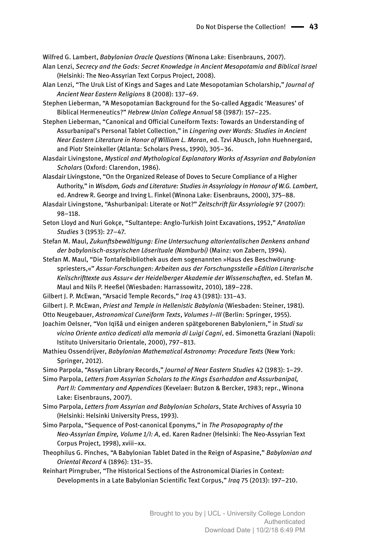Wilfred G. Lambert, *Babylonian Oracle Questions* (Winona Lake: Eisenbrauns, 2007).

- Alan Lenzi, *Secrecy and the Gods: Secret Knowledge in Ancient Mesopotamia and Biblical Israel* (Helsinki: The Neo-Assyrian Text Corpus Project, 2008).
- Alan Lenzi, "The Uruk List of Kings and Sages and Late Mesopotamian Scholarship," *Journal of Ancient Near Eastern Religions* 8 (2008): 137–69.
- Stephen Lieberman, "A Mesopotamian Background for the So-called Aggadic 'Measures' of Biblical Hermeneutics?" *Hebrew Union College Annual* 58 (1987): 157–225.
- Stephen Lieberman, "Canonical and Official Cuneiform Texts: Towards an Understanding of Assurbanipal's Personal Tablet Collection," in *Lingering over Words: Studies in Ancient Near Eastern Literature in Honor of William L. Moran*, ed. Tzvi Abusch, John Huehnergard, and Piotr Steinkeller (Atlanta: Scholars Press, 1990), 305–36.

Alasdair Livingstone, *Mystical and Mythological Explanatory Works of Assyrian and Babylonian Scholars* (Oxford: Clarendon, 1986).

Alasdair Livingstone, "On the Organized Release of Doves to Secure Compliance of a Higher Authority," in *Wisdom, Gods and Literature: Studies in Assyriology in Honour of W.G. Lambert*, ed. Andrew R. George and Irving L. Finkel (Winona Lake: Eisenbrauns, 2000), 375–88.

- Alasdair Livingstone, "Ashurbanipal: Literate or Not?" *Zeitschrift für Assyriologie* 97 (2007): 98–118.
- Seton Lloyd and Nuri Gokçe, "Sultantepe: Anglo-Turkish Joint Excavations, 1952," *Anatolian Studies* 3 (1953): 27–47.
- Stefan M. Maul, *Zukunftsbewältigung: Eine Untersuchung altorientalischen Denkens anhand der babylonisch-assyrischen Löserituale (Namburbi)* (Mainz: von Zabern, 1994).
- Stefan M. Maul, "Die Tontafelbibliothek aus dem sogenannten »Haus des Beschwörungspriesters,«" *Assur-Forschungen: Arbeiten aus der Forschungsstelle »Edition Literarische Keilschrifttexte aus Assur« der Heidelberger Akademie der Wissenschaften*, ed. Stefan M. Maul and Nils P. Heeßel (Wiesbaden: Harrassowitz, 2010), 189–228.
- Gilbert J. P. McEwan, "Arsacid Temple Records," *Iraq* 43 (1981): 131–43.
- Gilbert J. P. McEwan, *Priest and Temple in Hellenistic Babylonia* (Wiesbaden: Steiner, 1981). Otto Neugebauer, *Astronomical Cuneiform Texts*, *Volumes I–III* (Berlin: Springer, 1955).
- Joachim Oelsner, "Von Iqīšâ und einigen anderen spätgeborenen Babyloniern," in *Studi su vicino Oriente antico dedicati alla memoria di Luigi Cagni*, ed. Simonetta Graziani (Napoli: Istituto Universitario Orientale, 2000), 797–813.
- Mathieu Ossendrijver, *Babylonian Mathematical Astronomy: Procedure Texts* (New York: Springer, 2012).
- Simo Parpola, "Assyrian Library Records," *Journal of Near Eastern Studies* 42 (1983): 1–29.
- Simo Parpola, *Letters from Assyrian Scholars to the Kings Esarhaddon and Assurbanipal, Part II: Commentary and Appendices* (Kevelaer: Butzon & Bercker, 1983; repr., Winona Lake: Eisenbrauns, 2007).
- Simo Parpola, *Letters from Assyrian and Babylonian Scholars*, State Archives of Assyria 10 (Helsinki: Helsinki University Press, 1993).
- Simo Parpola, "Sequence of Post-canonical Eponyms," in *The Prosopography of the Neo-Assyrian Empire, Volume 1/I: A*, ed. Karen Radner (Helsinki: The Neo-Assyrian Text Corpus Project, 1998), xviii–xx.
- Theophilus G. Pinches, "A Babylonian Tablet Dated in the Reign of Aspasine," *Babylonian and Oriental Record* 4 (1896): 131–35.
- Reinhart Pirngruber, "The Historical Sections of the Astronomical Diaries in Context: Developments in a Late Babylonian Scientific Text Corpus," *Iraq* 75 (2013): 197–210.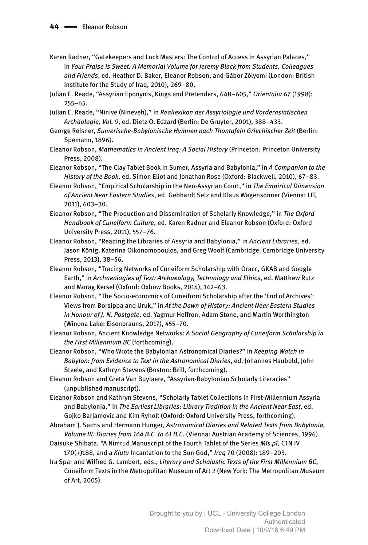- Karen Radner, "Gatekeepers and Lock Masters: The Control of Access in Assyrian Palaces," in *Your Praise is Sweet: A Memorial Volume for Jeremy Black from Students, Colleagues and Friends*, ed. Heather D. Baker, Eleanor Robson, and Gábor Zólyomi (London: British Institute for the Study of Iraq, 2010), 269–80.
- Julian E. Reade, "Assyrian Eponyms, Kings and Pretenders, 648–605," *Orientalia* 67 (1998): 255–65.
- Julian E. Reade, "Ninive (Nineveh)," in *Reallexikon der Assyriologie und Vorderasiatischen Archäologie, Vol. 9*, ed. Dietz O. Edzard (Berlin: De Gruyter, 2001), 388–433.
- George Reisner, *Sumerische-Babylonische Hymnen nach Thontafeln Griechischer Zeit* (Berlin: Spemann, 1896).
- Eleanor Robson, *Mathematics in Ancient Iraq: A Social History* (Princeton: Princeton University Press, 2008).
- Eleanor Robson, "The Clay Tablet Book in Sumer, Assyria and Babylonia," in *A Companion to the History of the Book*, ed. Simon Eliot and Jonathan Rose (Oxford: Blackwell, 2010), 67–83.
- Eleanor Robson, "Empirical Scholarship in the Neo-Assyrian Court," in *The Empirical Dimension of Ancient Near Eastern Studies*, ed. Gebhardt Selz and Klaus Wagensonner (Vienna: LIT, 2011), 603–30.
- Eleanor Robson, "The Production and Dissemination of Scholarly Knowledge," in *The Oxford Handbook of Cuneiform Culture*, ed. Karen Radner and Eleanor Robson (Oxford: Oxford University Press, 2011), 557–76.
- Eleanor Robson, "Reading the Libraries of Assyria and Babylonia," in *Ancient Libraries*, ed. Jason König, Katerina Oikonomopoulos, and Greg Woolf (Cambridge: Cambridge University Press, 2013), 38–56.
- Eleanor Robson, "Tracing Networks of Cuneiform Scholarship with Oracc, GKAB and Google Earth," in *Archaeologies of Text: Archaeology, Technology and Ethics*, ed. Matthew Rutz and Morag Kersel (Oxford: Oxbow Books, 2014), 142–63.
- Eleanor Robson, "The Socio-economics of Cuneiform Scholarship after the 'End of Archives': Views from Borsippa and Uruk," in *At the Dawn of History: Ancient Near Eastern Studies in Honour of J. N. Postgate*, ed. Yagmur Heffron, Adam Stone, and Martin Worthington (Winona Lake: Eisenbrauns, 2017), 455–70.
- Eleanor Robson, Ancient Knowledge Networks: *A Social Geography of Cuneiform Scholarship in the First Millennium BC* (forthcoming).
- Eleanor Robson, "Who Wrote the Babylonian Astronomical Diaries?" in *Keeping Watch in Babylon: from Evidence to Text in the Astronomical Diaries*, ed. Johannes Haubold, John Steele, and Kathryn Stevens (Boston: Brill, forthcoming).
- Eleanor Robson and Greta Van Buylaere, "Assyrian-Babylonian Scholarly Literacies" (unpublished manuscript).
- Eleanor Robson and Kathryn Stevens, "Scholarly Tablet Collections in First-Millennium Assyria and Babylonia," in *The Earliest Libraries: Library Tradition in the Ancient Near East*, ed. Gojko Barjamovic and Kim Ryholt (Oxford: Oxford University Press, forthcoming).
- Abraham J. Sachs and Hermann Hunger, *Astronomical Diaries and Related Texts from Babylonia, Volume III: Diaries from 164 B.C. to 61 B.C.* (Vienna: Austrian Academy of Sciences, 1996).
- Daisuke Shibata, "A Nimrud Manuscript of the Fourth Tablet of the Series *Mīs pî*, CTN IV 170(+)188, and a *Kiutu* Incantation to the Sun God," *Iraq* 70 (2008): 189–203.
- Ira Spar and Wilfred G. Lambert, eds., *Literary and Scholastic Texts of the First Millennium BC*, Cuneiform Texts in the Metropolitan Museum of Art 2 (New York: The Metropolitan Museum of Art, 2005).